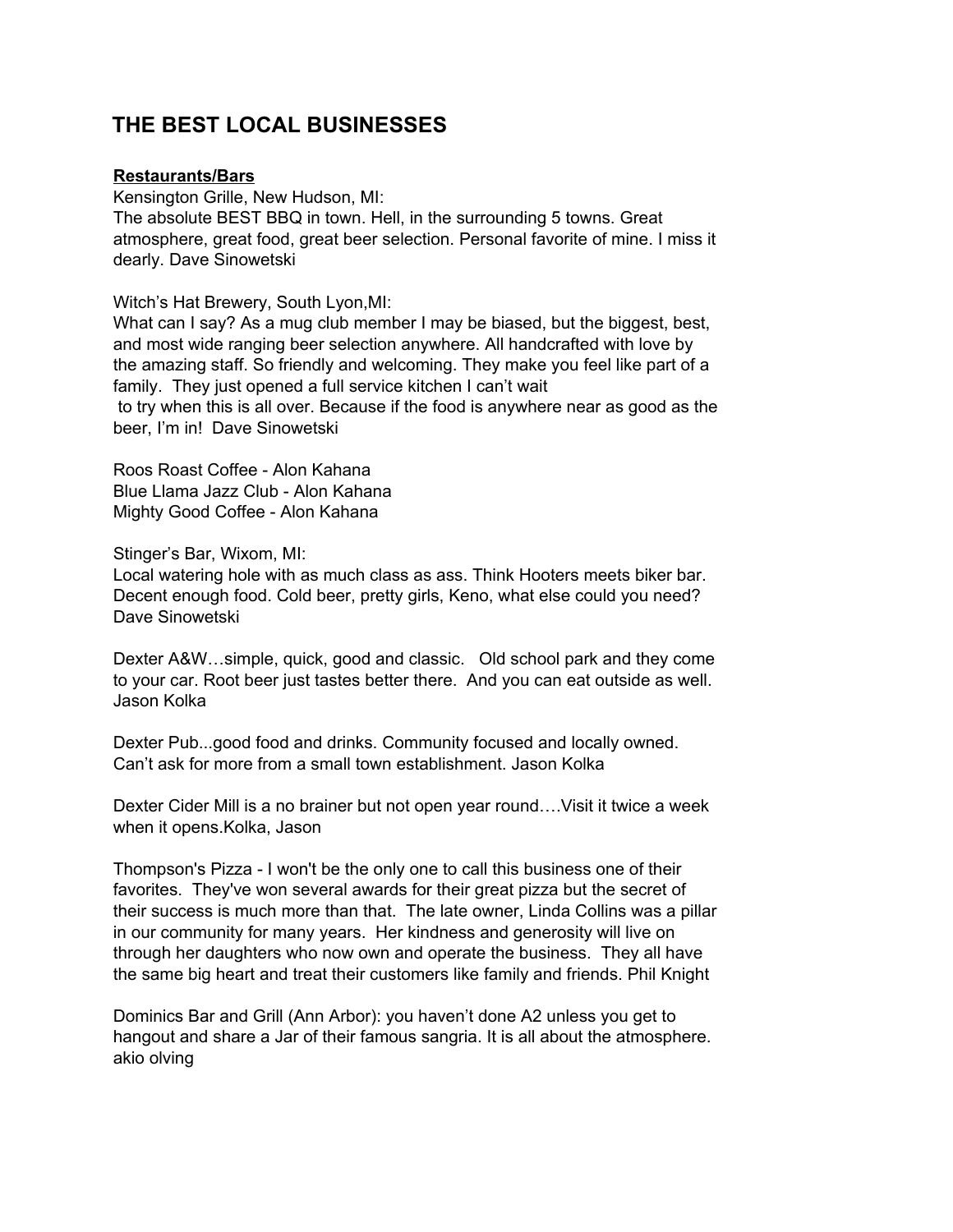# **THE BEST LOCAL BUSINESSES**

## **Restaurants/Bars**

Kensington Grille, New Hudson, MI: The absolute BEST BBQ in town. Hell, in the surrounding 5 towns. Great atmosphere, great food, great beer selection. Personal favorite of mine. I miss it dearly. Dave Sinowetski

Witch's Hat Brewery, South Lyon,MI:

What can I say? As a mug club member I may be biased, but the biggest, best, and most wide ranging beer selection anywhere. All handcrafted with love by the amazing staff. So friendly and welcoming. They make you feel like part of a family. They just opened a full service kitchen I can't wait to try when this is all over. Because if the food is anywhere near as good as the beer, I'm in! Dave Sinowetski

Roos Roast Coffee - Alon Kahana Blue Llama Jazz Club - Alon Kahana Mighty Good Coffee - Alon Kahana

Stinger's Bar, Wixom, MI:

Local watering hole with as much class as ass. Think Hooters meets biker bar. Decent enough food. Cold beer, pretty girls, Keno, what else could you need? Dave Sinowetski

Dexter A&W…simple, quick, good and classic. Old school park and they come to your car. Root beer just tastes better there. And you can eat outside as well. Jason Kolka

Dexter Pub...good food and drinks. Community focused and locally owned. Can't ask for more from a small town establishment. Jason Kolka

Dexter Cider Mill is a no brainer but not open year round….Visit it twice a week when it opens.Kolka, Jason

Thompson's Pizza - I won't be the only one to call this business one of their favorites. They've won several awards for their great pizza but the secret of their success is much more than that. The late owner, Linda Collins was a pillar in our community for many years. Her kindness and generosity will live on through her daughters who now own and operate the business. They all have the same big heart and treat their customers like family and friends. Phil Knight

Dominics Bar and Grill (Ann Arbor): you haven't done A2 unless you get to hangout and share a Jar of their famous sangria. It is all about the atmosphere. akio olving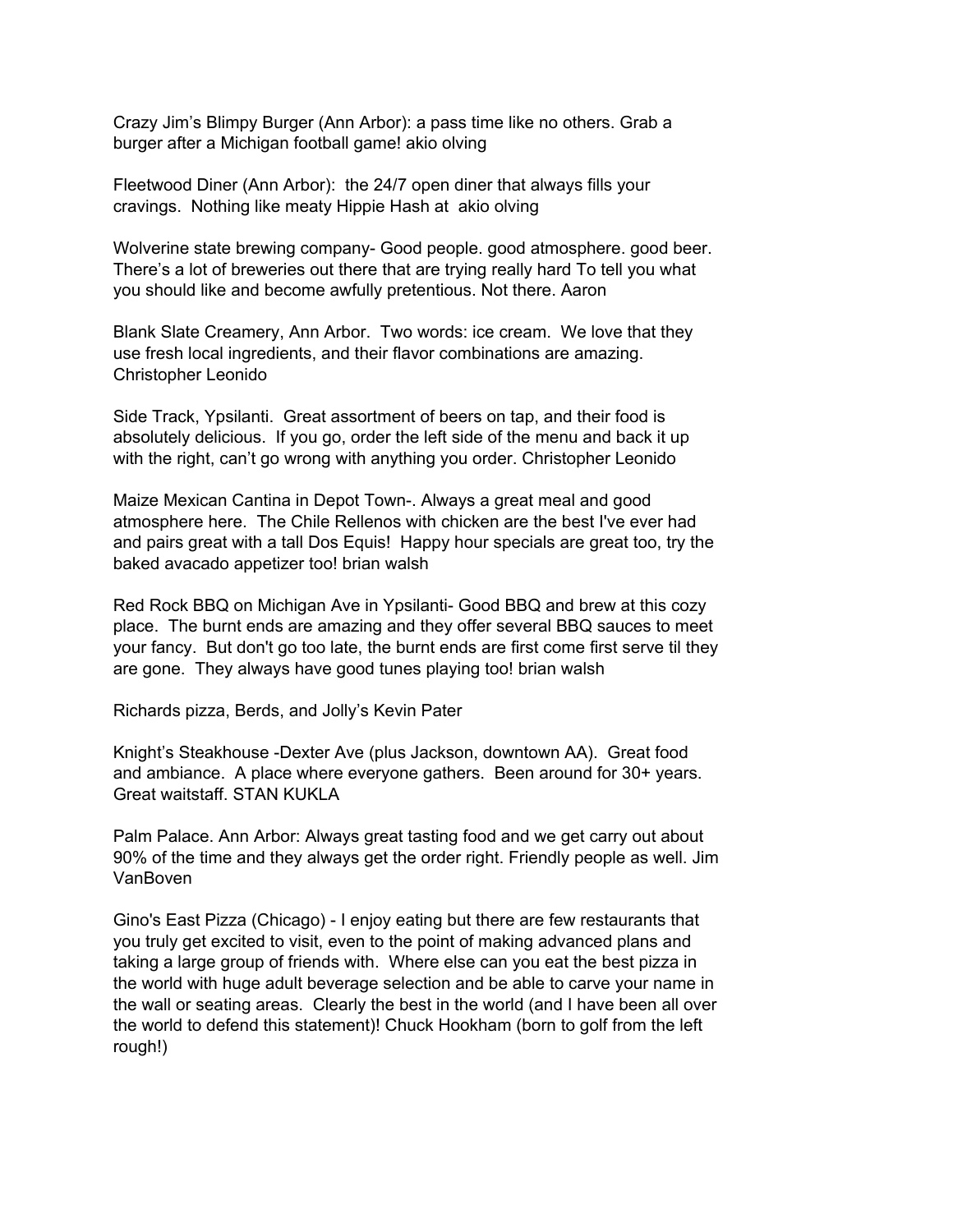Crazy Jim's Blimpy Burger (Ann Arbor): a pass time like no others. Grab a burger after a Michigan football game! akio olving

Fleetwood Diner (Ann Arbor): the 24/7 open diner that always fills your cravings. Nothing like meaty Hippie Hash at akio olving

Wolverine state brewing company- Good people. good atmosphere. good beer. There's a lot of breweries out there that are trying really hard To tell you what you should like and become awfully pretentious. Not there. Aaron

Blank Slate Creamery, Ann Arbor. Two words: ice cream. We love that they use fresh local ingredients, and their flavor combinations are amazing. Christopher Leonido

Side Track, Ypsilanti. Great assortment of beers on tap, and their food is absolutely delicious. If you go, order the left side of the menu and back it up with the right, can't go wrong with anything you order. Christopher Leonido

Maize Mexican Cantina in Depot Town-. Always a great meal and good atmosphere here. The Chile Rellenos with chicken are the best I've ever had and pairs great with a tall Dos Equis! Happy hour specials are great too, try the baked avacado appetizer too! brian walsh

Red Rock BBQ on Michigan Ave in Ypsilanti- Good BBQ and brew at this cozy place. The burnt ends are amazing and they offer several BBQ sauces to meet your fancy. But don't go too late, the burnt ends are first come first serve til they are gone. They always have good tunes playing too! brian walsh

Richards pizza, Berds, and Jolly's Kevin Pater

Knight's Steakhouse -Dexter Ave (plus Jackson, downtown AA). Great food and ambiance. A place where everyone gathers. Been around for 30+ years. Great waitstaff. STAN KUKLA

Palm Palace. Ann Arbor: Always great tasting food and we get carry out about 90% of the time and they always get the order right. Friendly people as well. Jim VanBoven

Gino's East Pizza (Chicago) - I enjoy eating but there are few restaurants that you truly get excited to visit, even to the point of making advanced plans and taking a large group of friends with. Where else can you eat the best pizza in the world with huge adult beverage selection and be able to carve your name in the wall or seating areas. Clearly the best in the world (and I have been all over the world to defend this statement)! Chuck Hookham (born to golf from the left rough!)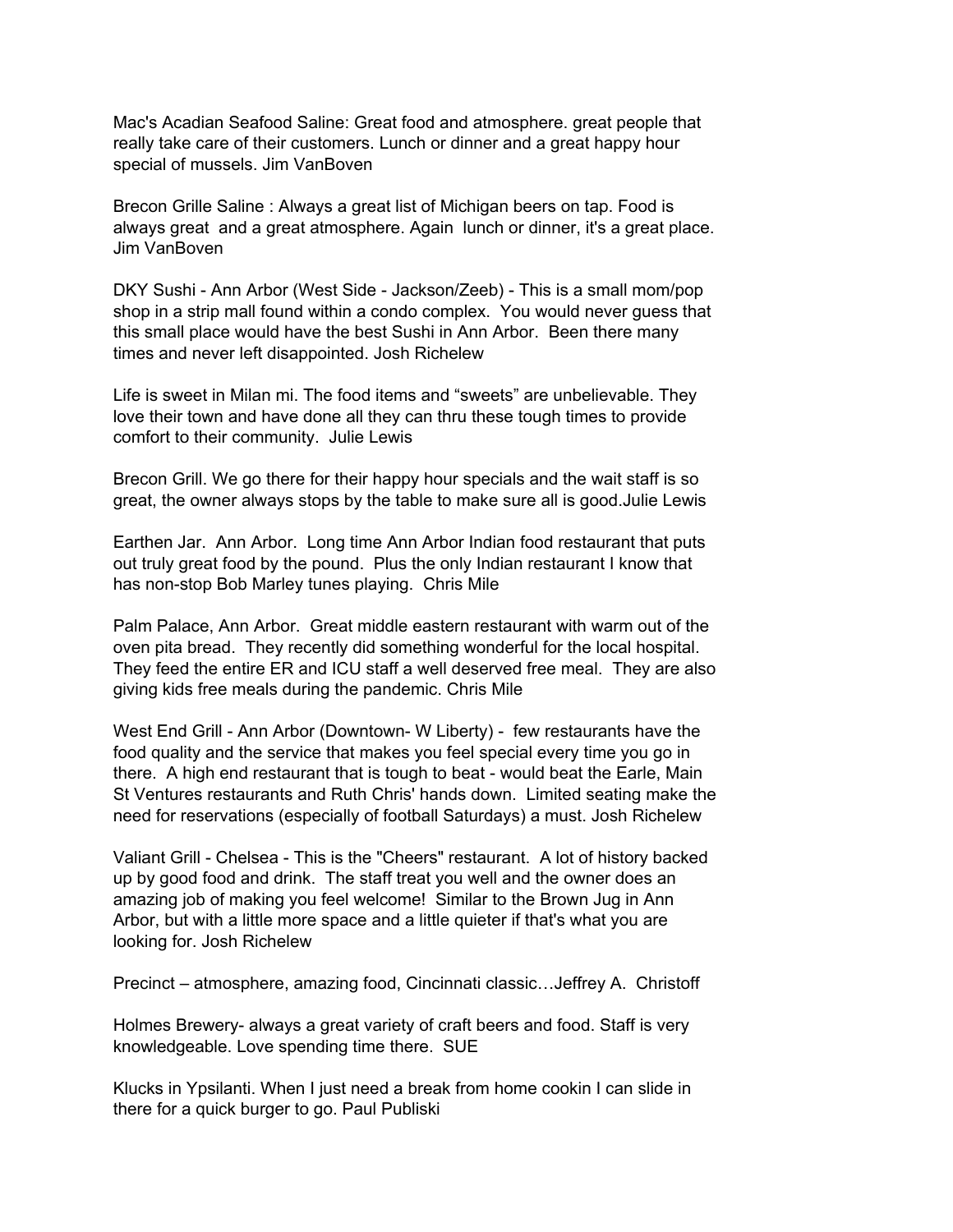Mac's Acadian Seafood Saline: Great food and atmosphere. great people that really take care of their customers. Lunch or dinner and a great happy hour special of mussels. Jim VanBoven

Brecon Grille Saline : Always a great list of Michigan beers on tap. Food is always great and a great atmosphere. Again lunch or dinner, it's a great place. Jim VanBoven

DKY Sushi - Ann Arbor (West Side - Jackson/Zeeb) - This is a small mom/pop shop in a strip mall found within a condo complex. You would never guess that this small place would have the best Sushi in Ann Arbor. Been there many times and never left disappointed. Josh Richelew

Life is sweet in Milan mi. The food items and "sweets" are unbelievable. They love their town and have done all they can thru these tough times to provide comfort to their community. Julie Lewis

Brecon Grill. We go there for their happy hour specials and the wait staff is so great, the owner always stops by the table to make sure all is good.Julie Lewis

Earthen Jar. Ann Arbor. Long time Ann Arbor Indian food restaurant that puts out truly great food by the pound. Plus the only Indian restaurant I know that has non-stop Bob Marley tunes playing. Chris Mile

Palm Palace, Ann Arbor. Great middle eastern restaurant with warm out of the oven pita bread. They recently did something wonderful for the local hospital. They feed the entire ER and ICU staff a well deserved free meal. They are also giving kids free meals during the pandemic. Chris Mile

West End Grill - Ann Arbor (Downtown- W Liberty) - few restaurants have the food quality and the service that makes you feel special every time you go in there. A high end restaurant that is tough to beat - would beat the Earle, Main St Ventures restaurants and Ruth Chris' hands down. Limited seating make the need for reservations (especially of football Saturdays) a must. Josh Richelew

Valiant Grill - Chelsea - This is the "Cheers" restaurant. A lot of history backed up by good food and drink. The staff treat you well and the owner does an amazing job of making you feel welcome! Similar to the Brown Jug in Ann Arbor, but with a little more space and a little quieter if that's what you are looking for. Josh Richelew

Precinct – atmosphere, amazing food, Cincinnati classic…Jeffrey A. Christoff

Holmes Brewery- always a great variety of craft beers and food. Staff is very knowledgeable. Love spending time there. SUE

Klucks in Ypsilanti. When I just need a break from home cookin I can slide in there for a quick burger to go. Paul Publiski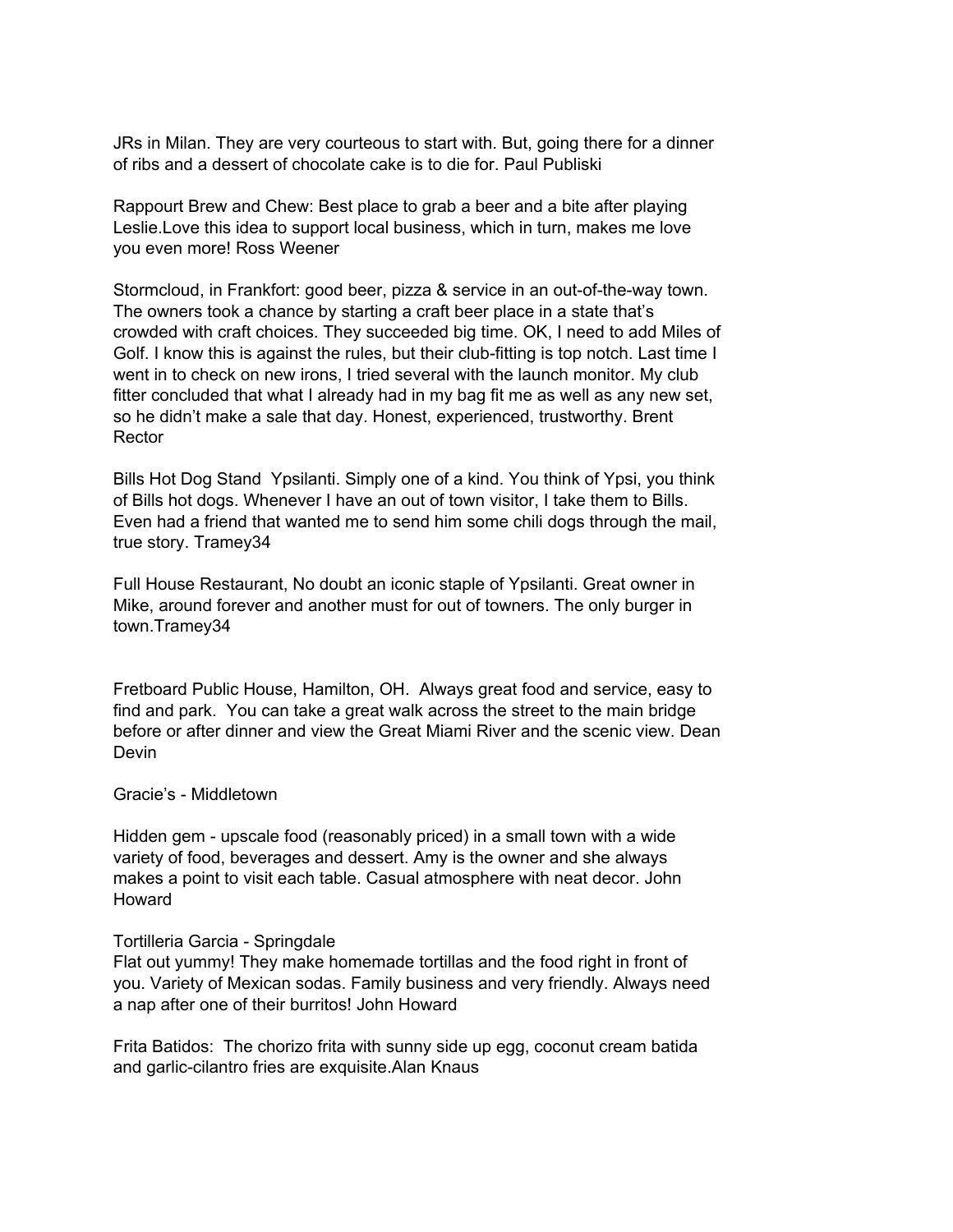JRs in Milan. They are very courteous to start with. But, going there for a dinner of ribs and a dessert of chocolate cake is to die for. Paul Publiski

Rappourt Brew and Chew: Best place to grab a beer and a bite after playing Leslie.Love this idea to support local business, which in turn, makes me love you even more! Ross Weener

Stormcloud, in Frankfort: good beer, pizza & service in an out-of-the-way town. The owners took a chance by starting a craft beer place in a state that's crowded with craft choices. They succeeded big time. OK, I need to add Miles of Golf. I know this is against the rules, but their club-fitting is top notch. Last time I went in to check on new irons, I tried several with the launch monitor. My club fitter concluded that what I already had in my bag fit me as well as any new set, so he didn't make a sale that day. Honest, experienced, trustworthy. Brent Rector

Bills Hot Dog Stand Ypsilanti. Simply one of a kind. You think of Ypsi, you think of Bills hot dogs. Whenever I have an out of town visitor, I take them to Bills. Even had a friend that wanted me to send him some chili dogs through the mail, true story. Tramey34

Full House Restaurant, No doubt an iconic staple of Ypsilanti. Great owner in Mike, around forever and another must for out of towners. The only burger in town.Tramey34

Fretboard Public House, Hamilton, OH. Always great food and service, easy to find and park. You can take a great walk across the street to the main bridge before or after dinner and view the Great Miami River and the scenic view. Dean Devin

#### Gracie's - Middletown

Hidden gem - upscale food (reasonably priced) in a small town with a wide variety of food, beverages and dessert. Amy is the owner and she always makes a point to visit each table. Casual atmosphere with neat decor. John Howard

#### Tortilleria Garcia - Springdale

Flat out yummy! They make homemade tortillas and the food right in front of you. Variety of Mexican sodas. Family business and very friendly. Always need a nap after one of their burritos! John Howard

Frita Batidos: The chorizo frita with sunny side up egg, coconut cream batida and garlic-cilantro fries are exquisite.Alan Knaus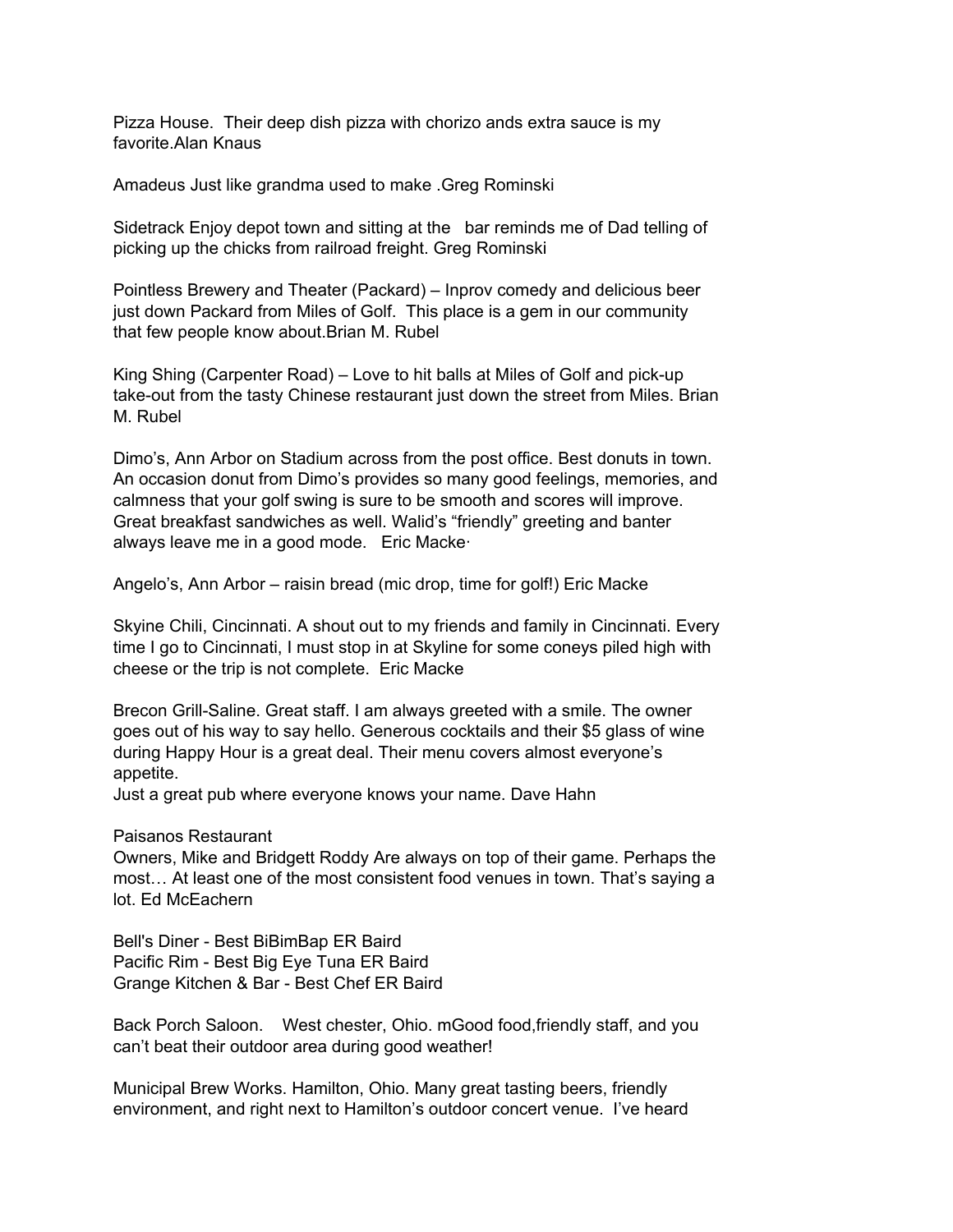Pizza House. Their deep dish pizza with chorizo ands extra sauce is my favorite.Alan Knaus

Amadeus Just like grandma used to make .Greg Rominski

Sidetrack Enjoy depot town and sitting at the bar reminds me of Dad telling of picking up the chicks from railroad freight. Greg Rominski

Pointless Brewery and Theater (Packard) – Inprov comedy and delicious beer just down Packard from Miles of Golf. This place is a gem in our community that few people know about.Brian M. Rubel

King Shing (Carpenter Road) – Love to hit balls at Miles of Golf and pick-up take-out from the tasty Chinese restaurant just down the street from Miles. Brian M. Rubel

Dimo's, Ann Arbor on Stadium across from the post office. Best donuts in town. An occasion donut from Dimo's provides so many good feelings, memories, and calmness that your golf swing is sure to be smooth and scores will improve. Great breakfast sandwiches as well. Walid's "friendly" greeting and banter always leave me in a good mode. Eric Macke·

Angelo's, Ann Arbor – raisin bread (mic drop, time for golf!) Eric Macke

Skyine Chili, Cincinnati. A shout out to my friends and family in Cincinnati. Every time I go to Cincinnati, I must stop in at Skyline for some coneys piled high with cheese or the trip is not complete. Eric Macke

Brecon Grill-Saline. Great staff. I am always greeted with a smile. The owner goes out of his way to say hello. Generous cocktails and their \$5 glass of wine during Happy Hour is a great deal. Their menu covers almost everyone's appetite.

Just a great pub where everyone knows your name. Dave Hahn

Paisanos Restaurant

Owners, Mike and Bridgett Roddy Are always on top of their game. Perhaps the most… At least one of the most consistent food venues in town. That's saying a lot. Ed McEachern

Bell's Diner - Best BiBimBap ER Baird Pacific Rim - Best Big Eye Tuna ER Baird Grange Kitchen & Bar - Best Chef ER Baird

Back Porch Saloon. West chester, Ohio. mGood food,friendly staff, and you can't beat their outdoor area during good weather!

Municipal Brew Works. Hamilton, Ohio. Many great tasting beers, friendly environment, and right next to Hamilton's outdoor concert venue. I've heard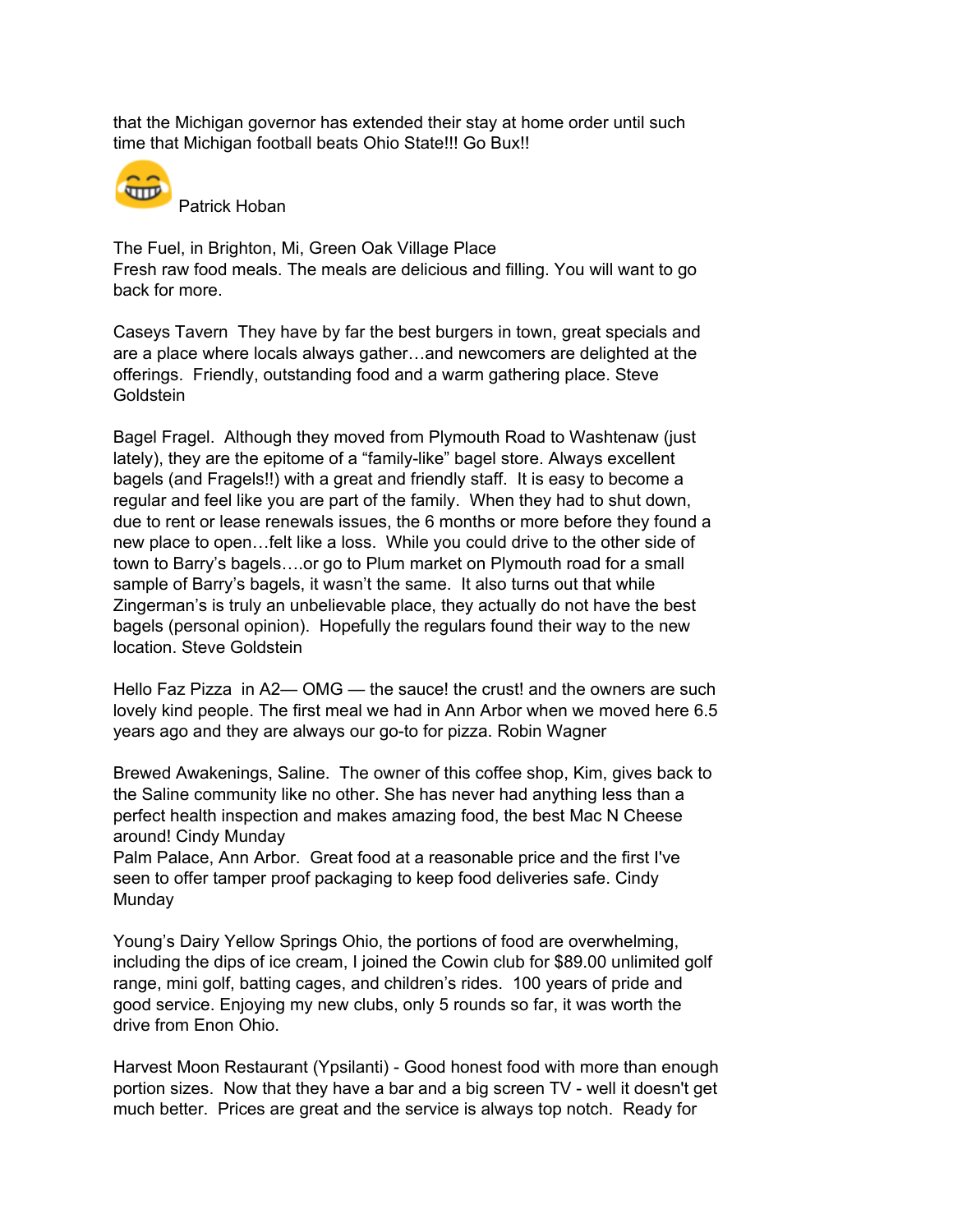that the Michigan governor has extended their stay at home order until such time that Michigan football beats Ohio State!!! Go Bux!!



Patrick Hoban

The Fuel, in Brighton, Mi, Green Oak Village Place Fresh raw food meals. The meals are delicious and filling. You will want to go back for more.

Caseys Tavern They have by far the best burgers in town, great specials and are a place where locals always gather…and newcomers are delighted at the offerings. Friendly, outstanding food and a warm gathering place. Steve Goldstein

Bagel Fragel. Although they moved from Plymouth Road to Washtenaw (just lately), they are the epitome of a "family-like" bagel store. Always excellent bagels (and Fragels!!) with a great and friendly staff. It is easy to become a regular and feel like you are part of the family. When they had to shut down, due to rent or lease renewals issues, the 6 months or more before they found a new place to open…felt like a loss. While you could drive to the other side of town to Barry's bagels….or go to Plum market on Plymouth road for a small sample of Barry's bagels, it wasn't the same. It also turns out that while Zingerman's is truly an unbelievable place, they actually do not have the best bagels (personal opinion). Hopefully the regulars found their way to the new location. Steve Goldstein

Hello Faz Pizza in A2— OMG — the sauce! the crust! and the owners are such lovely kind people. The first meal we had in Ann Arbor when we moved here 6.5 years ago and they are always our go-to for pizza. Robin Wagner

Brewed Awakenings, Saline. The owner of this coffee shop, Kim, gives back to the Saline community like no other. She has never had anything less than a perfect health inspection and makes amazing food, the best Mac N Cheese around! Cindy Munday

Palm Palace, Ann Arbor. Great food at a reasonable price and the first I've seen to offer tamper proof packaging to keep food deliveries safe. Cindy Munday

Young's Dairy Yellow Springs Ohio, the portions of food are overwhelming, including the dips of ice cream, I joined the Cowin club for \$89.00 unlimited golf range, mini golf, batting cages, and children's rides. 100 years of pride and good service. Enjoying my new clubs, only 5 rounds so far, it was worth the drive from Enon Ohio.

Harvest Moon Restaurant (Ypsilanti) - Good honest food with more than enough portion sizes. Now that they have a bar and a big screen TV - well it doesn't get much better. Prices are great and the service is always top notch. Ready for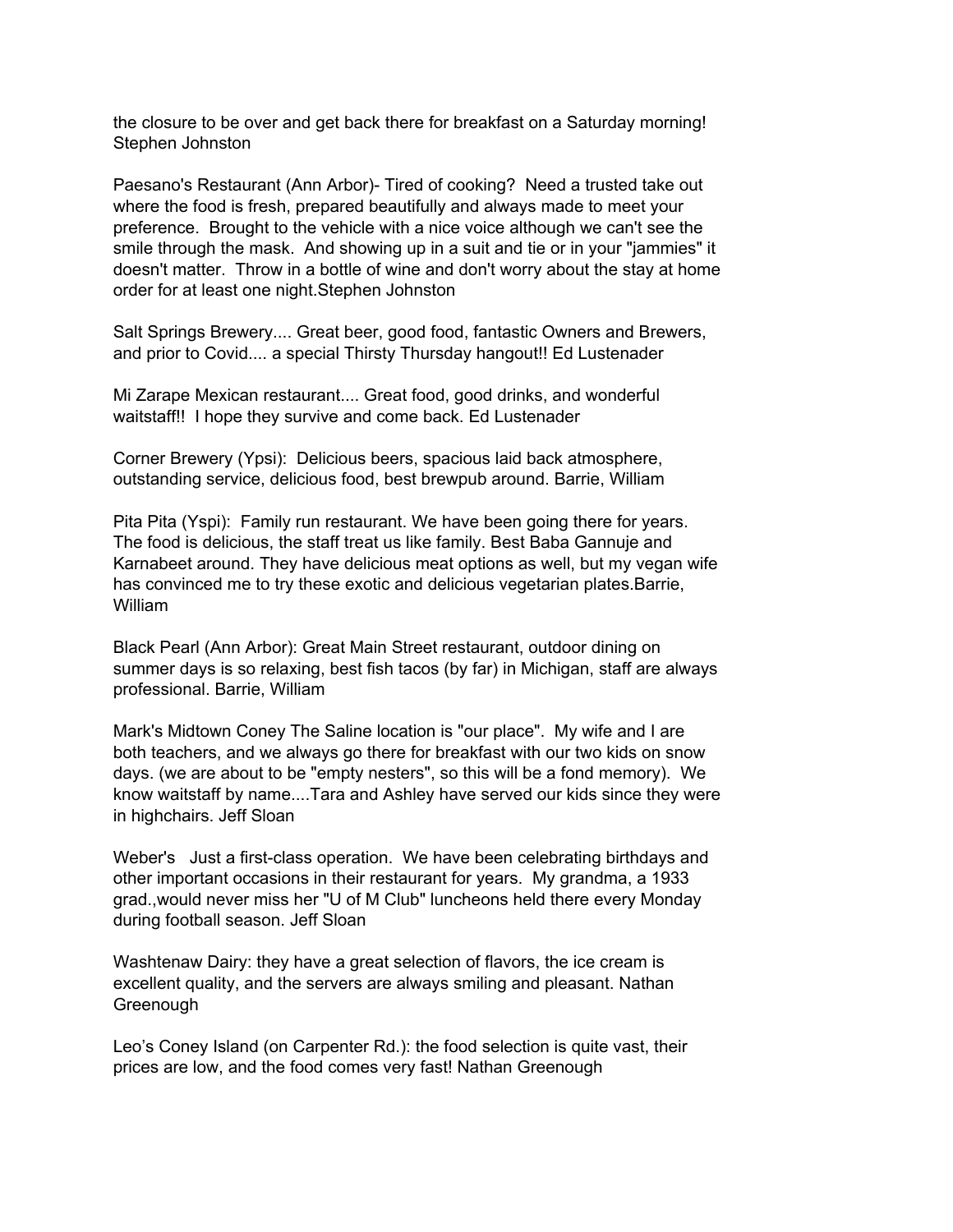the closure to be over and get back there for breakfast on a Saturday morning! Stephen Johnston

Paesano's Restaurant (Ann Arbor)- Tired of cooking? Need a trusted take out where the food is fresh, prepared beautifully and always made to meet your preference. Brought to the vehicle with a nice voice although we can't see the smile through the mask. And showing up in a suit and tie or in your "jammies" it doesn't matter. Throw in a bottle of wine and don't worry about the stay at home order for at least one night.Stephen Johnston

Salt Springs Brewery.... Great beer, good food, fantastic Owners and Brewers, and prior to Covid.... a special Thirsty Thursday hangout!! Ed Lustenader

Mi Zarape Mexican restaurant.... Great food, good drinks, and wonderful waitstaff!! I hope they survive and come back. Ed Lustenader

Corner Brewery (Ypsi): Delicious beers, spacious laid back atmosphere, outstanding service, delicious food, best brewpub around. Barrie, William

Pita Pita (Yspi): Family run restaurant. We have been going there for years. The food is delicious, the staff treat us like family. Best Baba Gannuje and Karnabeet around. They have delicious meat options as well, but my vegan wife has convinced me to try these exotic and delicious vegetarian plates.Barrie, William

Black Pearl (Ann Arbor): Great Main Street restaurant, outdoor dining on summer days is so relaxing, best fish tacos (by far) in Michigan, staff are always professional. Barrie, William

Mark's Midtown Coney The Saline location is "our place". My wife and I are both teachers, and we always go there for breakfast with our two kids on snow days. (we are about to be "empty nesters", so this will be a fond memory). We know waitstaff by name....Tara and Ashley have served our kids since they were in highchairs. Jeff Sloan

Weber's Just a first-class operation. We have been celebrating birthdays and other important occasions in their restaurant for years. My grandma, a 1933 grad.,would never miss her "U of M Club" luncheons held there every Monday during football season. Jeff Sloan

Washtenaw Dairy: they have a great selection of flavors, the ice cream is excellent quality, and the servers are always smiling and pleasant. Nathan Greenough

Leo's Coney Island (on Carpenter Rd.): the food selection is quite vast, their prices are low, and the food comes very fast! Nathan Greenough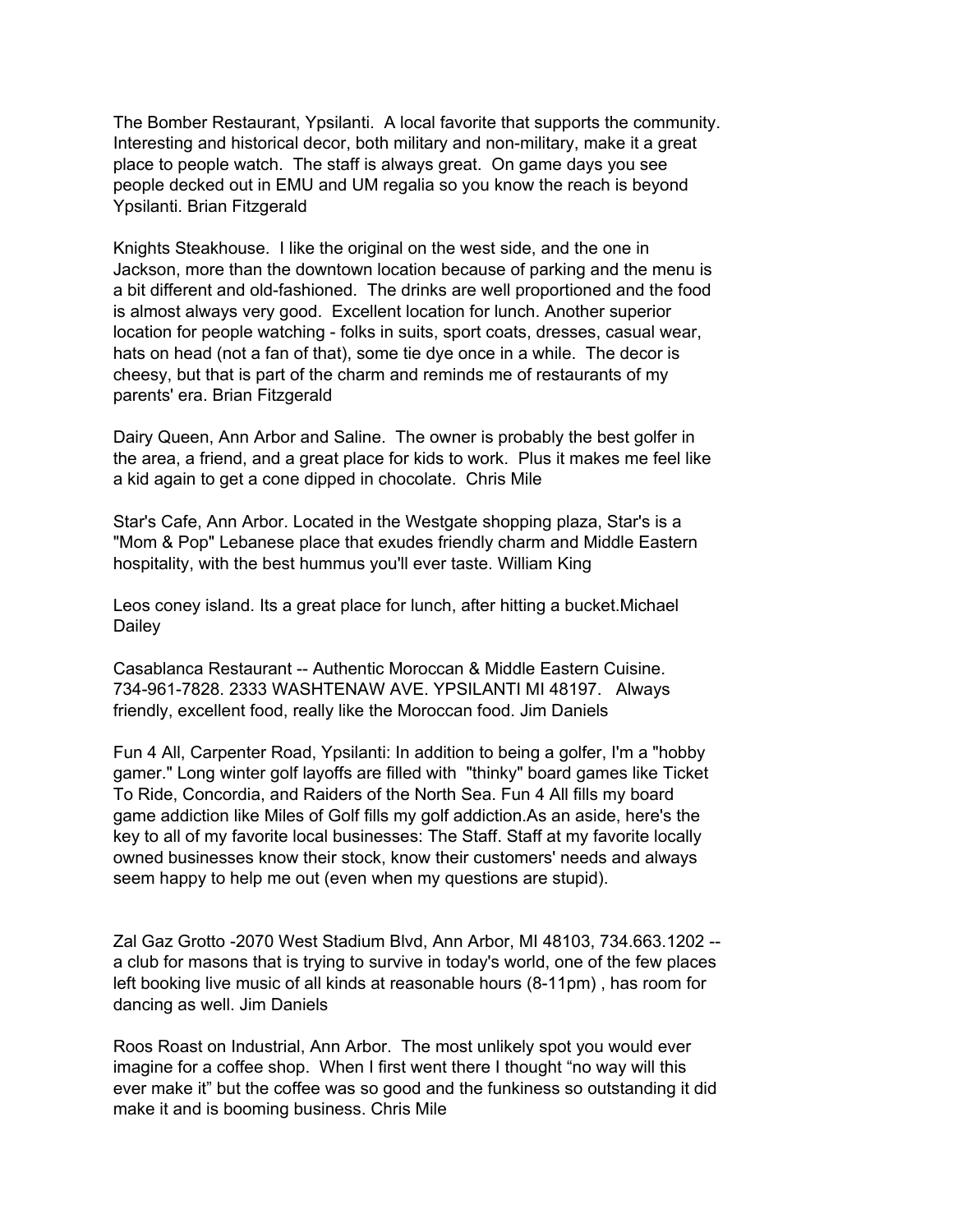The Bomber Restaurant, Ypsilanti. A local favorite that supports the community. Interesting and historical decor, both military and non-military, make it a great place to people watch. The staff is always great. On game days you see people decked out in EMU and UM regalia so you know the reach is beyond Ypsilanti. Brian Fitzgerald

Knights Steakhouse. I like the original on the west side, and the one in Jackson, more than the downtown location because of parking and the menu is a bit different and old-fashioned. The drinks are well proportioned and the food is almost always very good. Excellent location for lunch. Another superior location for people watching - folks in suits, sport coats, dresses, casual wear, hats on head (not a fan of that), some tie dye once in a while. The decor is cheesy, but that is part of the charm and reminds me of restaurants of my parents' era. Brian Fitzgerald

Dairy Queen, Ann Arbor and Saline. The owner is probably the best golfer in the area, a friend, and a great place for kids to work. Plus it makes me feel like a kid again to get a cone dipped in chocolate. Chris Mile

Star's Cafe, Ann Arbor. Located in the Westgate shopping plaza, Star's is a "Mom & Pop" Lebanese place that exudes friendly charm and Middle Eastern hospitality, with the best hummus you'll ever taste. William King

Leos coney island. Its a great place for lunch, after hitting a bucket.Michael Dailey

Casablanca Restaurant -- Authentic Moroccan & Middle Eastern Cuisine. 734-961-7828. 2333 WASHTENAW AVE. YPSILANTI MI 48197. Always friendly, excellent food, really like the Moroccan food. Jim Daniels

Fun 4 All, Carpenter Road, Ypsilanti: In addition to being a golfer, I'm a "hobby gamer." Long winter golf layoffs are filled with "thinky" board games like Ticket To Ride, Concordia, and Raiders of the North Sea. Fun 4 All fills my board game addiction like Miles of Golf fills my golf addiction.As an aside, here's the key to all of my favorite local businesses: The Staff. Staff at my favorite locally owned businesses know their stock, know their customers' needs and always seem happy to help me out (even when my questions are stupid).

Zal Gaz Grotto -2070 West Stadium Blvd, Ann Arbor, MI 48103, 734.663.1202 - a club for masons that is trying to survive in today's world, one of the few places left booking live music of all kinds at reasonable hours (8-11pm) , has room for dancing as well. Jim Daniels

Roos Roast on Industrial, Ann Arbor. The most unlikely spot you would ever imagine for a coffee shop. When I first went there I thought "no way will this ever make it" but the coffee was so good and the funkiness so outstanding it did make it and is booming business. Chris Mile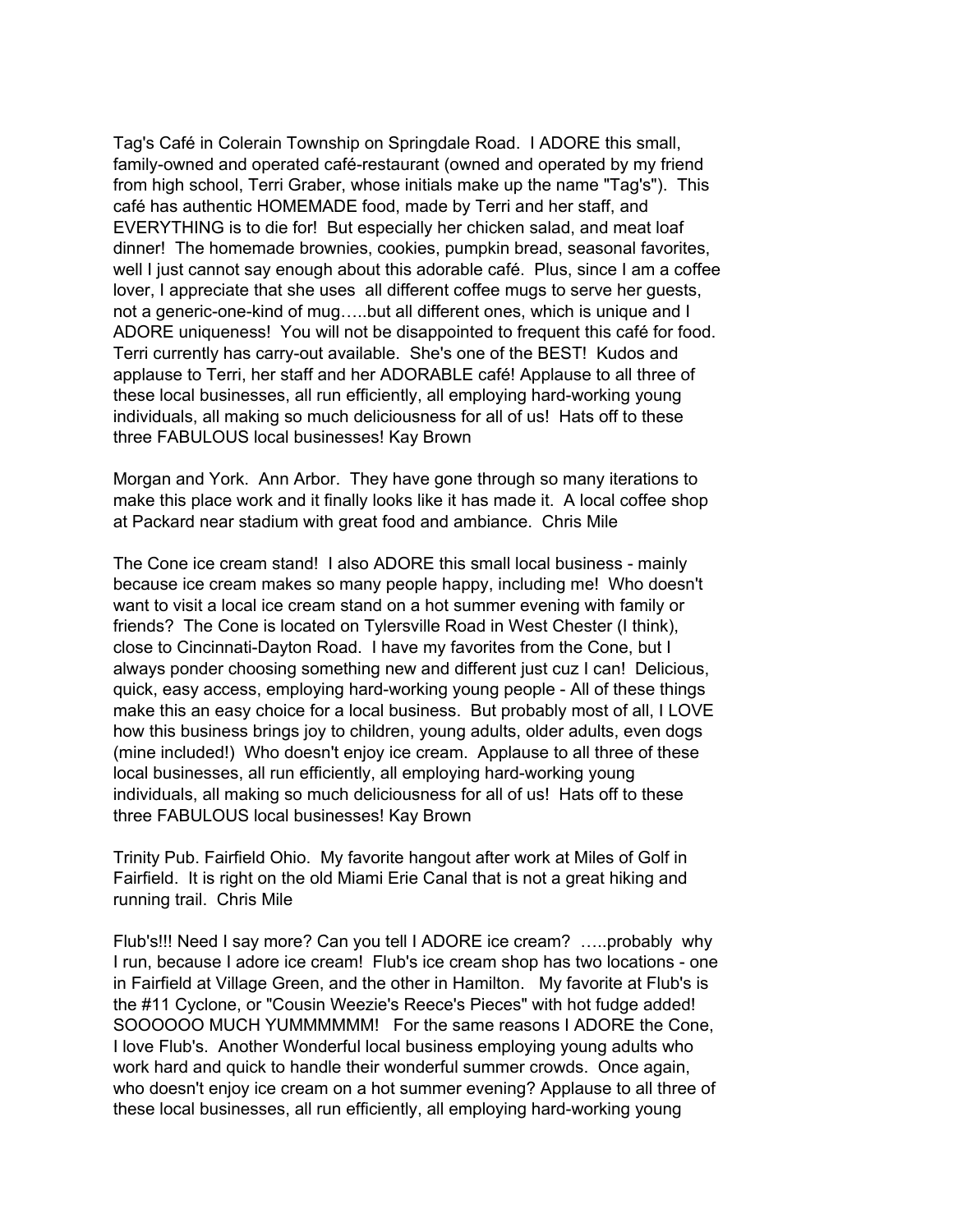Tag's Café in Colerain Township on Springdale Road. I ADORE this small, family-owned and operated café-restaurant (owned and operated by my friend from high school, Terri Graber, whose initials make up the name "Tag's"). This café has authentic HOMEMADE food, made by Terri and her staff, and EVERYTHING is to die for! But especially her chicken salad, and meat loaf dinner! The homemade brownies, cookies, pumpkin bread, seasonal favorites, well I just cannot say enough about this adorable café. Plus, since I am a coffee lover, I appreciate that she uses all different coffee mugs to serve her guests, not a generic-one-kind of mug…..but all different ones, which is unique and I ADORE uniqueness! You will not be disappointed to frequent this café for food. Terri currently has carry-out available. She's one of the BEST! Kudos and applause to Terri, her staff and her ADORABLE café! Applause to all three of these local businesses, all run efficiently, all employing hard-working young individuals, all making so much deliciousness for all of us! Hats off to these three FABULOUS local businesses! Kay Brown

Morgan and York. Ann Arbor. They have gone through so many iterations to make this place work and it finally looks like it has made it. A local coffee shop at Packard near stadium with great food and ambiance. Chris Mile

The Cone ice cream stand! I also ADORE this small local business - mainly because ice cream makes so many people happy, including me! Who doesn't want to visit a local ice cream stand on a hot summer evening with family or friends? The Cone is located on Tylersville Road in West Chester (I think), close to Cincinnati-Dayton Road. I have my favorites from the Cone, but I always ponder choosing something new and different just cuz I can! Delicious, quick, easy access, employing hard-working young people - All of these things make this an easy choice for a local business. But probably most of all, I LOVE how this business brings joy to children, young adults, older adults, even dogs (mine included!) Who doesn't enjoy ice cream. Applause to all three of these local businesses, all run efficiently, all employing hard-working young individuals, all making so much deliciousness for all of us! Hats off to these three FABULOUS local businesses! Kay Brown

Trinity Pub. Fairfield Ohio. My favorite hangout after work at Miles of Golf in Fairfield. It is right on the old Miami Erie Canal that is not a great hiking and running trail. Chris Mile

Flub's!!! Need I say more? Can you tell I ADORE ice cream? …..probably why I run, because I adore ice cream! Flub's ice cream shop has two locations - one in Fairfield at Village Green, and the other in Hamilton. My favorite at Flub's is the #11 Cyclone, or "Cousin Weezie's Reece's Pieces" with hot fudge added! SOOOOOO MUCH YUMMMMMM! For the same reasons I ADORE the Cone, I love Flub's. Another Wonderful local business employing young adults who work hard and quick to handle their wonderful summer crowds. Once again, who doesn't enjoy ice cream on a hot summer evening? Applause to all three of these local businesses, all run efficiently, all employing hard-working young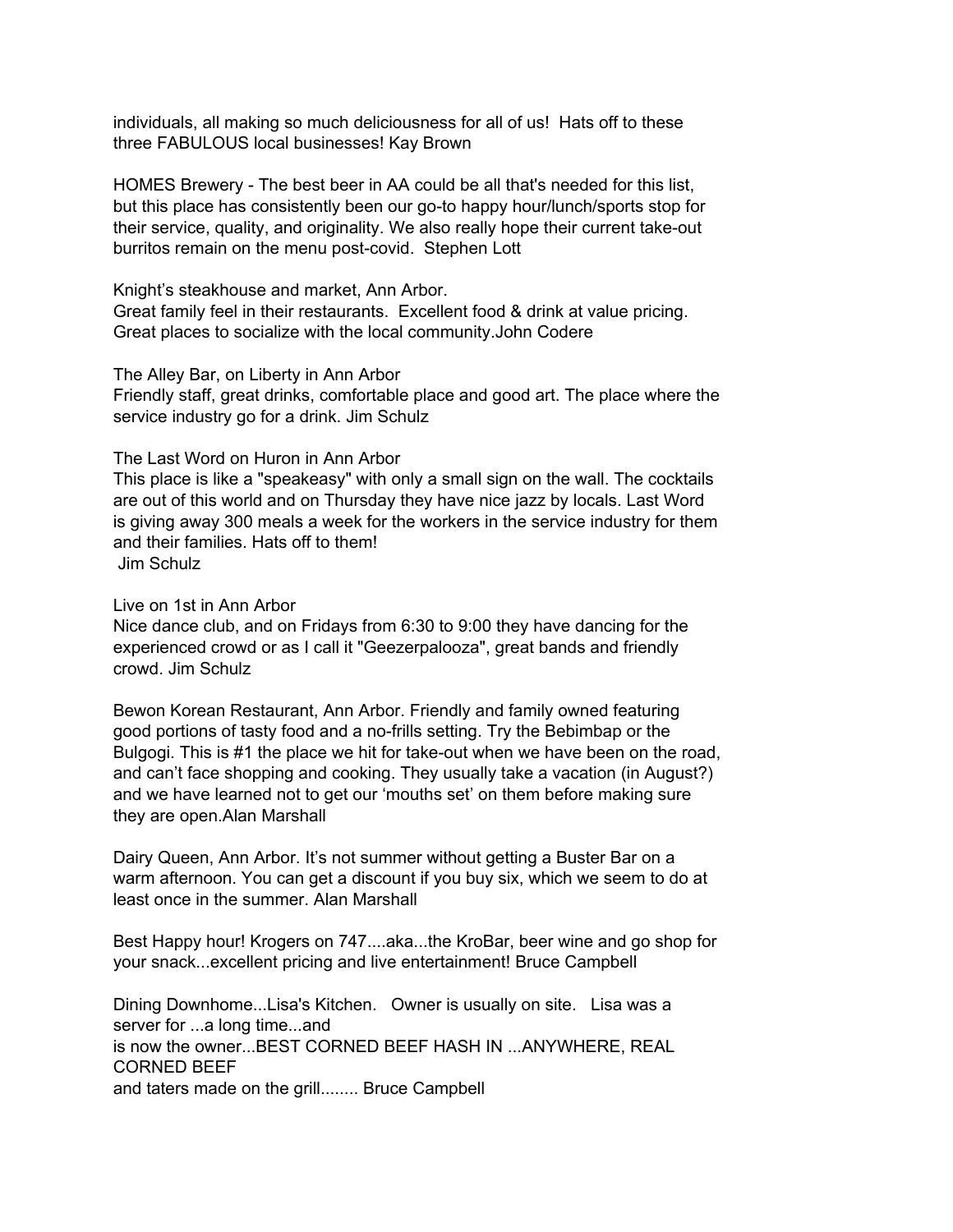individuals, all making so much deliciousness for all of us! Hats off to these three FABULOUS local businesses! Kay Brown

HOMES Brewery - The best beer in AA could be all that's needed for this list, but this place has consistently been our go-to happy hour/lunch/sports stop for their service, quality, and originality. We also really hope their current take-out burritos remain on the menu post-covid. Stephen Lott

Knight's steakhouse and market, Ann Arbor. Great family feel in their restaurants. Excellent food & drink at value pricing. Great places to socialize with the local community.John Codere

The Alley Bar, on Liberty in Ann Arbor

Friendly staff, great drinks, comfortable place and good art. The place where the service industry go for a drink. Jim Schulz

#### The Last Word on Huron in Ann Arbor

This place is like a "speakeasy" with only a small sign on the wall. The cocktails are out of this world and on Thursday they have nice jazz by locals. Last Word is giving away 300 meals a week for the workers in the service industry for them and their families. Hats off to them! Jim Schulz

Live on 1st in Ann Arbor

Nice dance club, and on Fridays from 6:30 to 9:00 they have dancing for the experienced crowd or as I call it "Geezerpalooza", great bands and friendly crowd. Jim Schulz

Bewon Korean Restaurant, Ann Arbor. Friendly and family owned featuring good portions of tasty food and a no-frills setting. Try the Bebimbap or the Bulgogi. This is #1 the place we hit for take-out when we have been on the road, and can't face shopping and cooking. They usually take a vacation (in August?) and we have learned not to get our 'mouths set' on them before making sure they are open.Alan Marshall

Dairy Queen, Ann Arbor. It's not summer without getting a Buster Bar on a warm afternoon. You can get a discount if you buy six, which we seem to do at least once in the summer. Alan Marshall

Best Happy hour! Krogers on 747....aka...the KroBar, beer wine and go shop for your snack...excellent pricing and live entertainment! Bruce Campbell

Dining Downhome...Lisa's Kitchen. Owner is usually on site. Lisa was a server for ...a long time...and is now the owner...BEST CORNED BEEF HASH IN ...ANYWHERE, REAL CORNED BEEF and taters made on the grill........ Bruce Campbell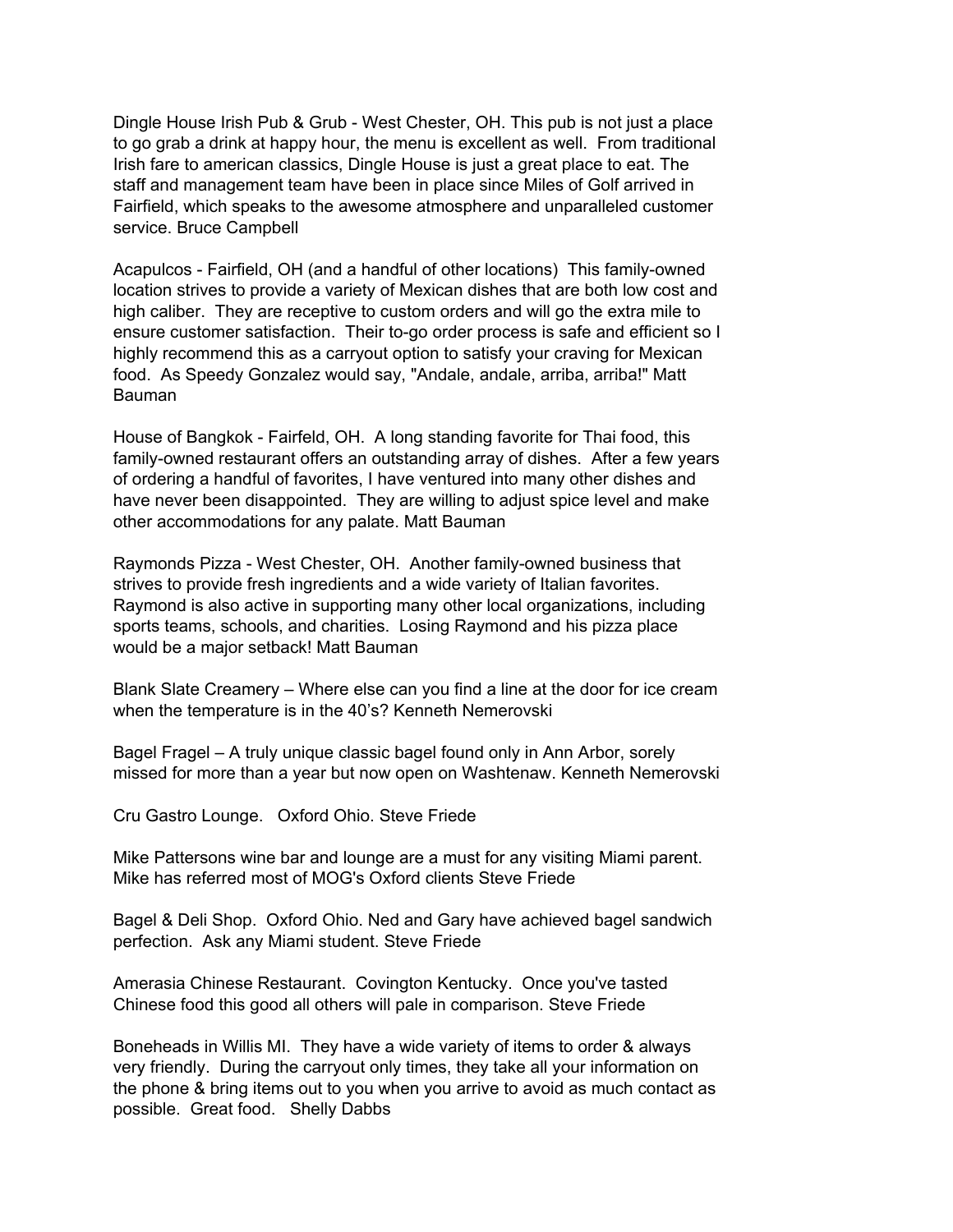Dingle House Irish Pub & Grub - West Chester, OH. This pub is not just a place to go grab a drink at happy hour, the menu is excellent as well. From traditional Irish fare to american classics, Dingle House is just a great place to eat. The staff and management team have been in place since Miles of Golf arrived in Fairfield, which speaks to the awesome atmosphere and unparalleled customer service. Bruce Campbell

Acapulcos - Fairfield, OH (and a handful of other locations) This family-owned location strives to provide a variety of Mexican dishes that are both low cost and high caliber. They are receptive to custom orders and will go the extra mile to ensure customer satisfaction. Their to-go order process is safe and efficient so I highly recommend this as a carryout option to satisfy your craving for Mexican food. As Speedy Gonzalez would say, "Andale, andale, arriba, arriba!" Matt Bauman

House of Bangkok - Fairfeld, OH. A long standing favorite for Thai food, this family-owned restaurant offers an outstanding array of dishes. After a few years of ordering a handful of favorites, I have ventured into many other dishes and have never been disappointed. They are willing to adjust spice level and make other accommodations for any palate. Matt Bauman

Raymonds Pizza - West Chester, OH. Another family-owned business that strives to provide fresh ingredients and a wide variety of Italian favorites. Raymond is also active in supporting many other local organizations, including sports teams, schools, and charities. Losing Raymond and his pizza place would be a major setback! Matt Bauman

Blank Slate Creamery – Where else can you find a line at the door for ice cream when the temperature is in the 40's? Kenneth Nemerovski

Bagel Fragel – A truly unique classic bagel found only in Ann Arbor, sorely missed for more than a year but now open on Washtenaw. Kenneth Nemerovski

Cru Gastro Lounge. Oxford Ohio. Steve Friede

Mike Pattersons wine bar and lounge are a must for any visiting Miami parent. Mike has referred most of MOG's Oxford clients Steve Friede

Bagel & Deli Shop. Oxford Ohio. Ned and Gary have achieved bagel sandwich perfection. Ask any Miami student. Steve Friede

Amerasia Chinese Restaurant. Covington Kentucky. Once you've tasted Chinese food this good all others will pale in comparison. Steve Friede

Boneheads in Willis MI. They have a wide variety of items to order & always very friendly. During the carryout only times, they take all your information on the phone & bring items out to you when you arrive to avoid as much contact as possible. Great food. Shelly Dabbs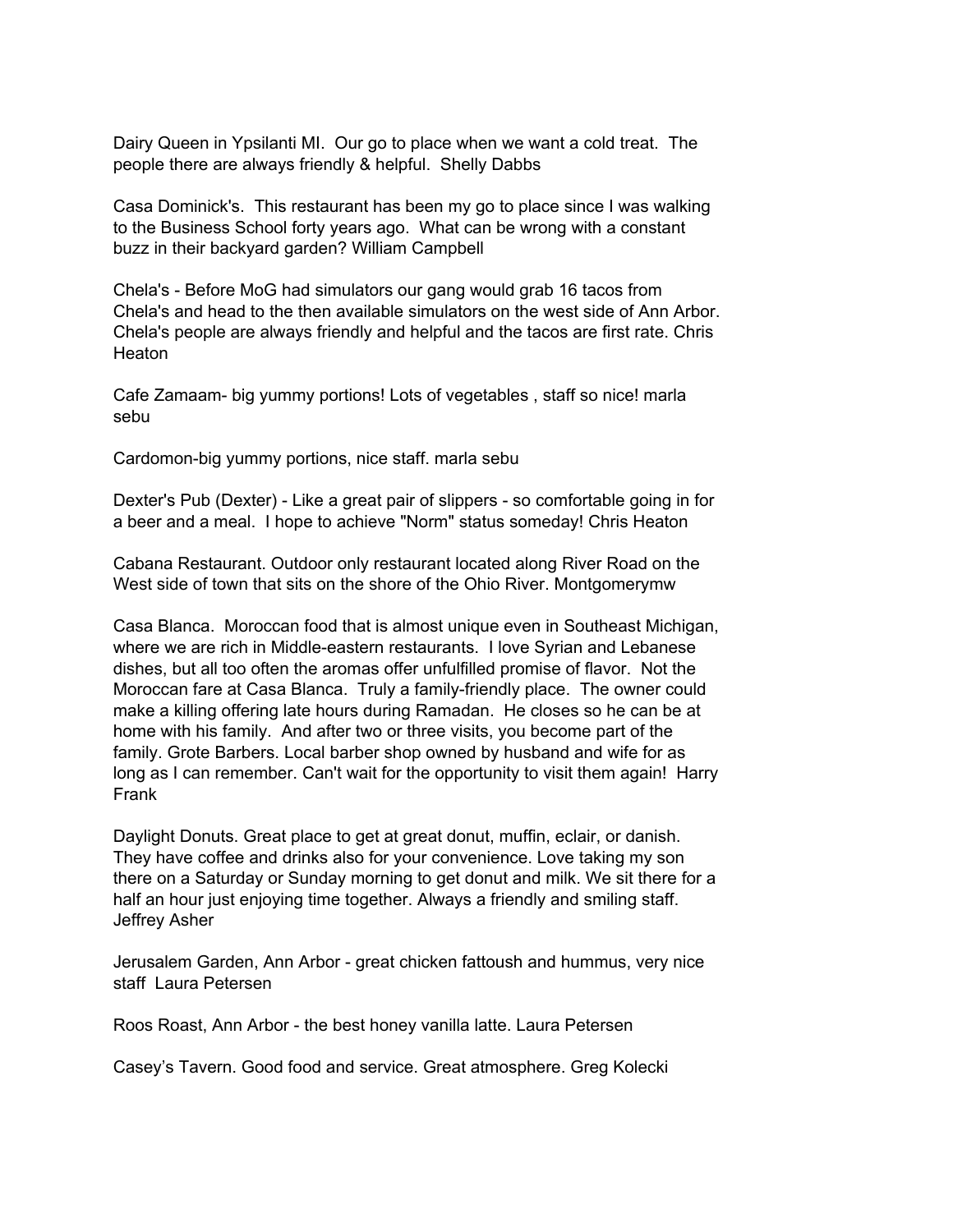Dairy Queen in Ypsilanti MI. Our go to place when we want a cold treat. The people there are always friendly & helpful. Shelly Dabbs

Casa Dominick's. This restaurant has been my go to place since I was walking to the Business School forty years ago. What can be wrong with a constant buzz in their backyard garden? William Campbell

Chela's - Before MoG had simulators our gang would grab 16 tacos from Chela's and head to the then available simulators on the west side of Ann Arbor. Chela's people are always friendly and helpful and the tacos are first rate. Chris **Heaton** 

Cafe Zamaam- big yummy portions! Lots of vegetables , staff so nice! marla sebu

Cardomon-big yummy portions, nice staff. marla sebu

Dexter's Pub (Dexter) - Like a great pair of slippers - so comfortable going in for a beer and a meal. I hope to achieve "Norm" status someday! Chris Heaton

Cabana Restaurant. Outdoor only restaurant located along River Road on the West side of town that sits on the shore of the Ohio River. Montgomerymw

Casa Blanca. Moroccan food that is almost unique even in Southeast Michigan, where we are rich in Middle-eastern restaurants. I love Syrian and Lebanese dishes, but all too often the aromas offer unfulfilled promise of flavor. Not the Moroccan fare at Casa Blanca. Truly a family-friendly place. The owner could make a killing offering late hours during Ramadan. He closes so he can be at home with his family. And after two or three visits, you become part of the family. Grote Barbers. Local barber shop owned by husband and wife for as long as I can remember. Can't wait for the opportunity to visit them again! Harry Frank

Daylight Donuts. Great place to get at great donut, muffin, eclair, or danish. They have coffee and drinks also for your convenience. Love taking my son there on a Saturday or Sunday morning to get donut and milk. We sit there for a half an hour just enjoying time together. Always a friendly and smiling staff. Jeffrey Asher

Jerusalem Garden, Ann Arbor - great chicken fattoush and hummus, very nice staff Laura Petersen

Roos Roast, Ann Arbor - the best honey vanilla latte. Laura Petersen

Casey's Tavern. Good food and service. Great atmosphere. Greg Kolecki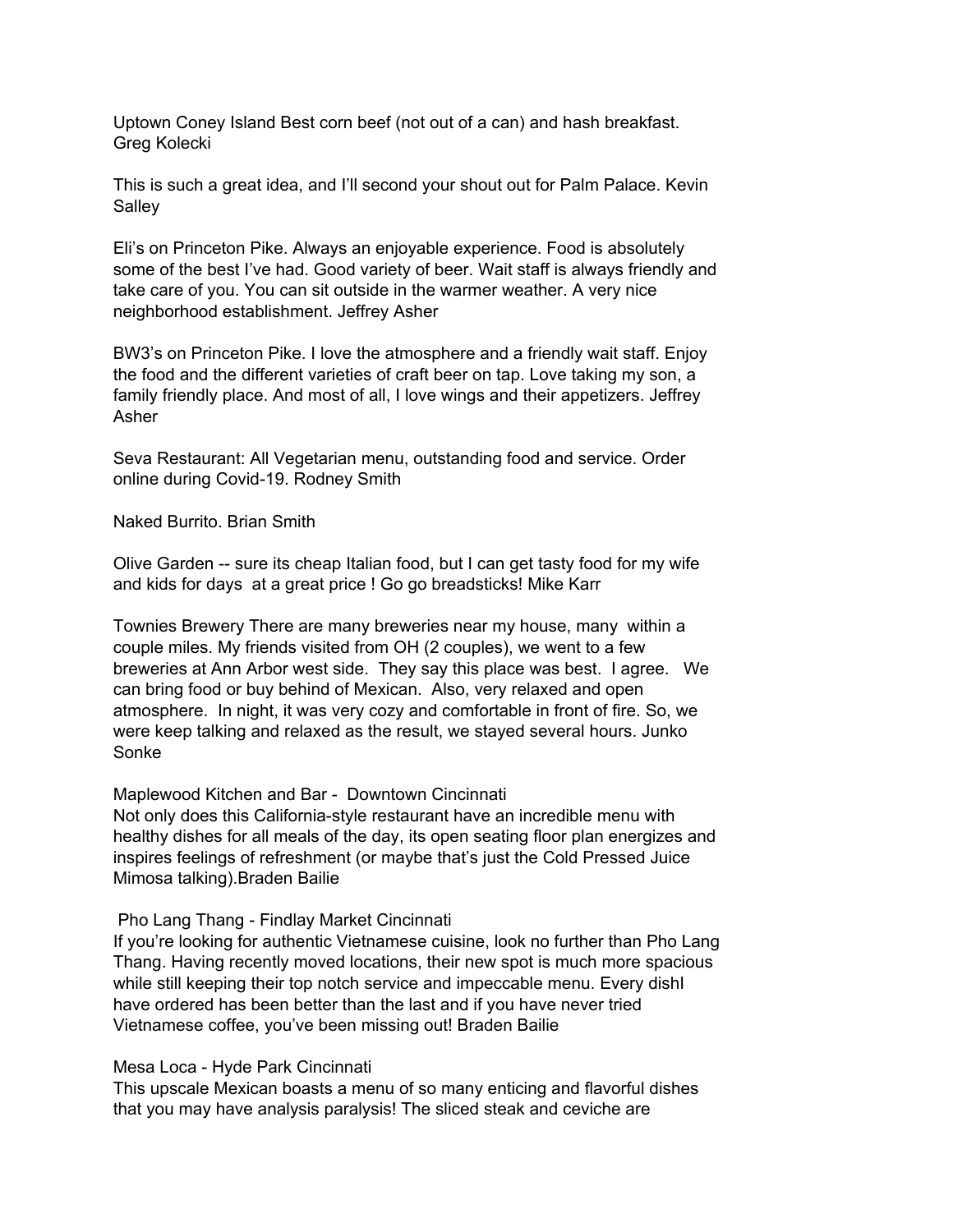Uptown Coney Island Best corn beef (not out of a can) and hash breakfast. Greg Kolecki

This is such a great idea, and I'll second your shout out for Palm Palace. Kevin **Salley** 

Eli's on Princeton Pike. Always an enjoyable experience. Food is absolutely some of the best I've had. Good variety of beer. Wait staff is always friendly and take care of you. You can sit outside in the warmer weather. A very nice neighborhood establishment. Jeffrey Asher

BW3's on Princeton Pike. I love the atmosphere and a friendly wait staff. Enjoy the food and the different varieties of craft beer on tap. Love taking my son, a family friendly place. And most of all, I love wings and their appetizers. Jeffrey Asher

Seva Restaurant: All Vegetarian menu, outstanding food and service. Order online during Covid-19. Rodney Smith

Naked Burrito. Brian Smith

Olive Garden -- sure its cheap Italian food, but I can get tasty food for my wife and kids for days at a great price ! Go go breadsticks! Mike Karr

Townies Brewery There are many breweries near my house, many within a couple miles. My friends visited from OH (2 couples), we went to a few breweries at Ann Arbor west side. They say this place was best. I agree. We can bring food or buy behind of Mexican. Also, very relaxed and open atmosphere. In night, it was very cozy and comfortable in front of fire. So, we were keep talking and relaxed as the result, we stayed several hours. Junko Sonke

Maplewood Kitchen and Bar - Downtown Cincinnati

Not only does this California-style restaurant have an incredible menu with healthy dishes for all meals of the day, its open seating floor plan energizes and inspires feelings of refreshment (or maybe that's just the Cold Pressed Juice Mimosa talking).Braden Bailie

Pho Lang Thang - Findlay Market Cincinnati

If you're looking for authentic Vietnamese cuisine, look no further than Pho Lang Thang. Having recently moved locations, their new spot is much more spacious while still keeping their top notch service and impeccable menu. Every dishl have ordered has been better than the last and if you have never tried Vietnamese coffee, you've been missing out! Braden Bailie

Mesa Loca - Hyde Park Cincinnati

This upscale Mexican boasts a menu of so many enticing and flavorful dishes that you may have analysis paralysis! The sliced steak and ceviche are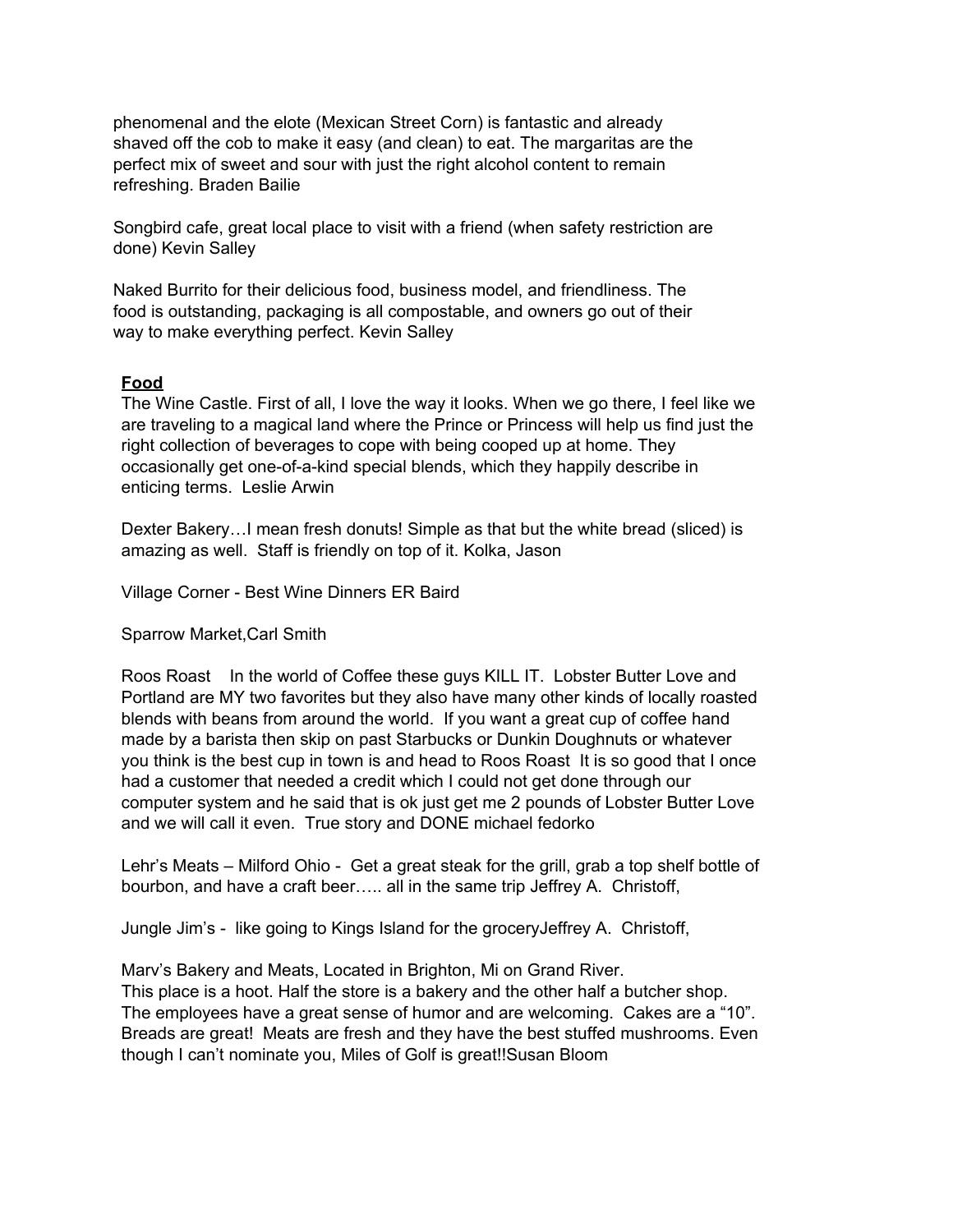phenomenal and the elote (Mexican Street Corn) is fantastic and already shaved off the cob to make it easy (and clean) to eat. The margaritas are the perfect mix of sweet and sour with just the right alcohol content to remain refreshing. Braden Bailie

Songbird cafe, great local place to visit with a friend (when safety restriction are done) Kevin Salley

Naked Burrito for their delicious food, business model, and friendliness. The food is outstanding, packaging is all compostable, and owners go out of their way to make everything perfect. Kevin Salley

## **Food**

The Wine Castle. First of all, I love the way it looks. When we go there, I feel like we are traveling to a magical land where the Prince or Princess will help us find just the right collection of beverages to cope with being cooped up at home. They occasionally get one-of-a-kind special blends, which they happily describe in enticing terms. Leslie Arwin

Dexter Bakery…I mean fresh donuts! Simple as that but the white bread (sliced) is amazing as well. Staff is friendly on top of it. Kolka, Jason

Village Corner - Best Wine Dinners ER Baird

Sparrow Market,Carl Smith

Roos Roast In the world of Coffee these guys KILL IT. Lobster Butter Love and Portland are MY two favorites but they also have many other kinds of locally roasted blends with beans from around the world. If you want a great cup of coffee hand made by a barista then skip on past Starbucks or Dunkin Doughnuts or whatever you think is the best cup in town is and head to Roos Roast It is so good that I once had a customer that needed a credit which I could not get done through our computer system and he said that is ok just get me 2 pounds of Lobster Butter Love and we will call it even. True story and DONE michael fedorko

Lehr's Meats – Milford Ohio - Get a great steak for the grill, grab a top shelf bottle of bourbon, and have a craft beer….. all in the same trip Jeffrey A. Christoff,

Jungle Jim's - like going to Kings Island for the groceryJeffrey A. Christoff,

Marv's Bakery and Meats, Located in Brighton, Mi on Grand River. This place is a hoot. Half the store is a bakery and the other half a butcher shop. The employees have a great sense of humor and are welcoming. Cakes are a "10". Breads are great! Meats are fresh and they have the best stuffed mushrooms. Even though I can't nominate you, Miles of Golf is great!!Susan Bloom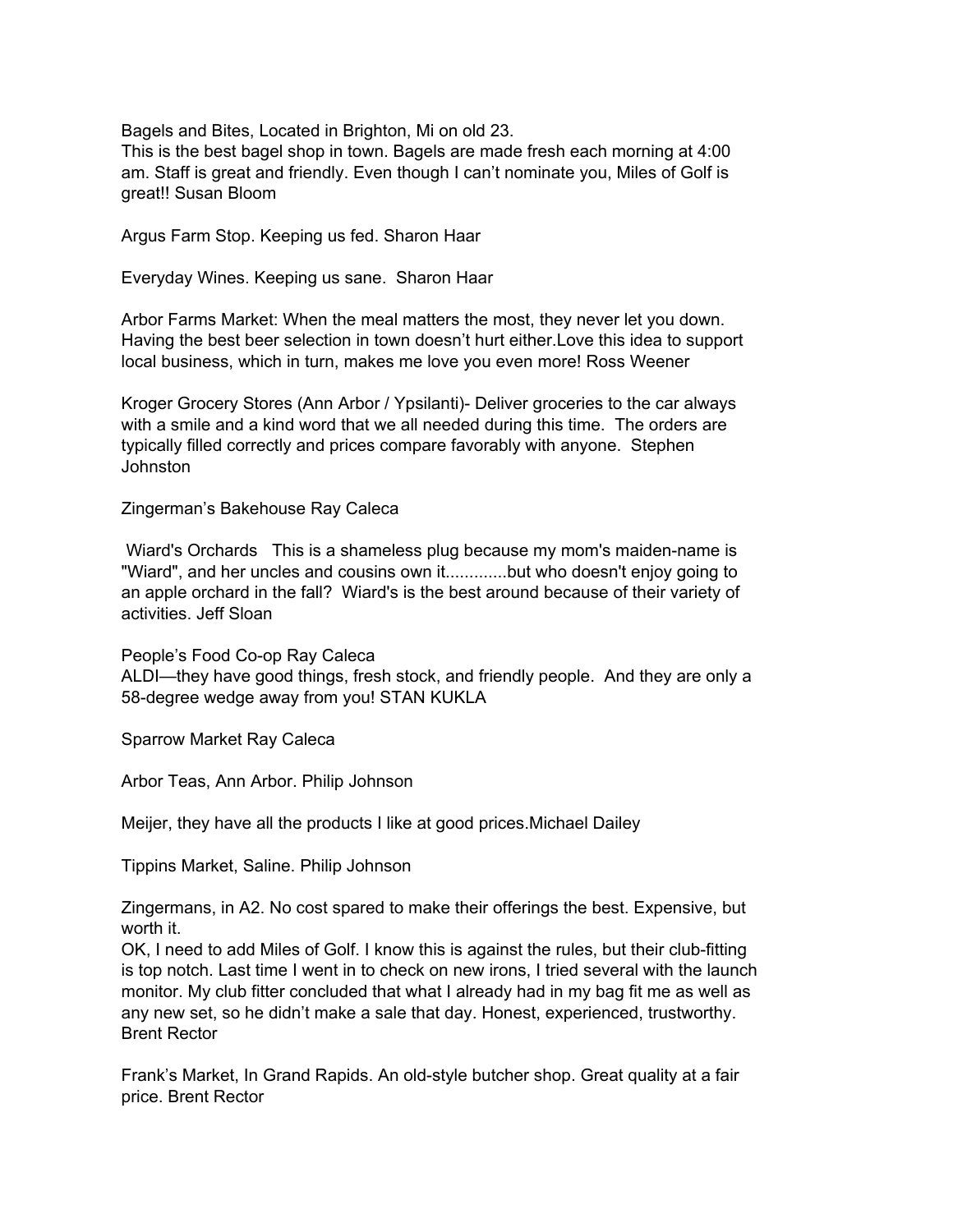Bagels and Bites, Located in Brighton, Mi on old 23.

This is the best bagel shop in town. Bagels are made fresh each morning at 4:00 am. Staff is great and friendly. Even though I can't nominate you, Miles of Golf is great!! Susan Bloom

Argus Farm Stop. Keeping us fed. Sharon Haar

Everyday Wines. Keeping us sane. Sharon Haar

Arbor Farms Market: When the meal matters the most, they never let you down. Having the best beer selection in town doesn't hurt either.Love this idea to support local business, which in turn, makes me love you even more! Ross Weener

Kroger Grocery Stores (Ann Arbor / Ypsilanti)- Deliver groceries to the car always with a smile and a kind word that we all needed during this time. The orders are typically filled correctly and prices compare favorably with anyone. Stephen Johnston

Zingerman's Bakehouse Ray Caleca

Wiard's Orchards This is a shameless plug because my mom's maiden-name is "Wiard", and her uncles and cousins own it.............but who doesn't enjoy going to an apple orchard in the fall? Wiard's is the best around because of their variety of activities. Jeff Sloan

People's Food Co-op Ray Caleca ALDI—they have good things, fresh stock, and friendly people. And they are only a 58-degree wedge away from you! STAN KUKLA

Sparrow Market Ray Caleca

Arbor Teas, Ann Arbor. Philip Johnson

Meijer, they have all the products I like at good prices.Michael Dailey

Tippins Market, Saline. Philip Johnson

Zingermans, in A2. No cost spared to make their offerings the best. Expensive, but worth it.

OK, I need to add Miles of Golf. I know this is against the rules, but their club-fitting is top notch. Last time I went in to check on new irons, I tried several with the launch monitor. My club fitter concluded that what I already had in my bag fit me as well as any new set, so he didn't make a sale that day. Honest, experienced, trustworthy. Brent Rector

Frank's Market, In Grand Rapids. An old-style butcher shop. Great quality at a fair price. Brent Rector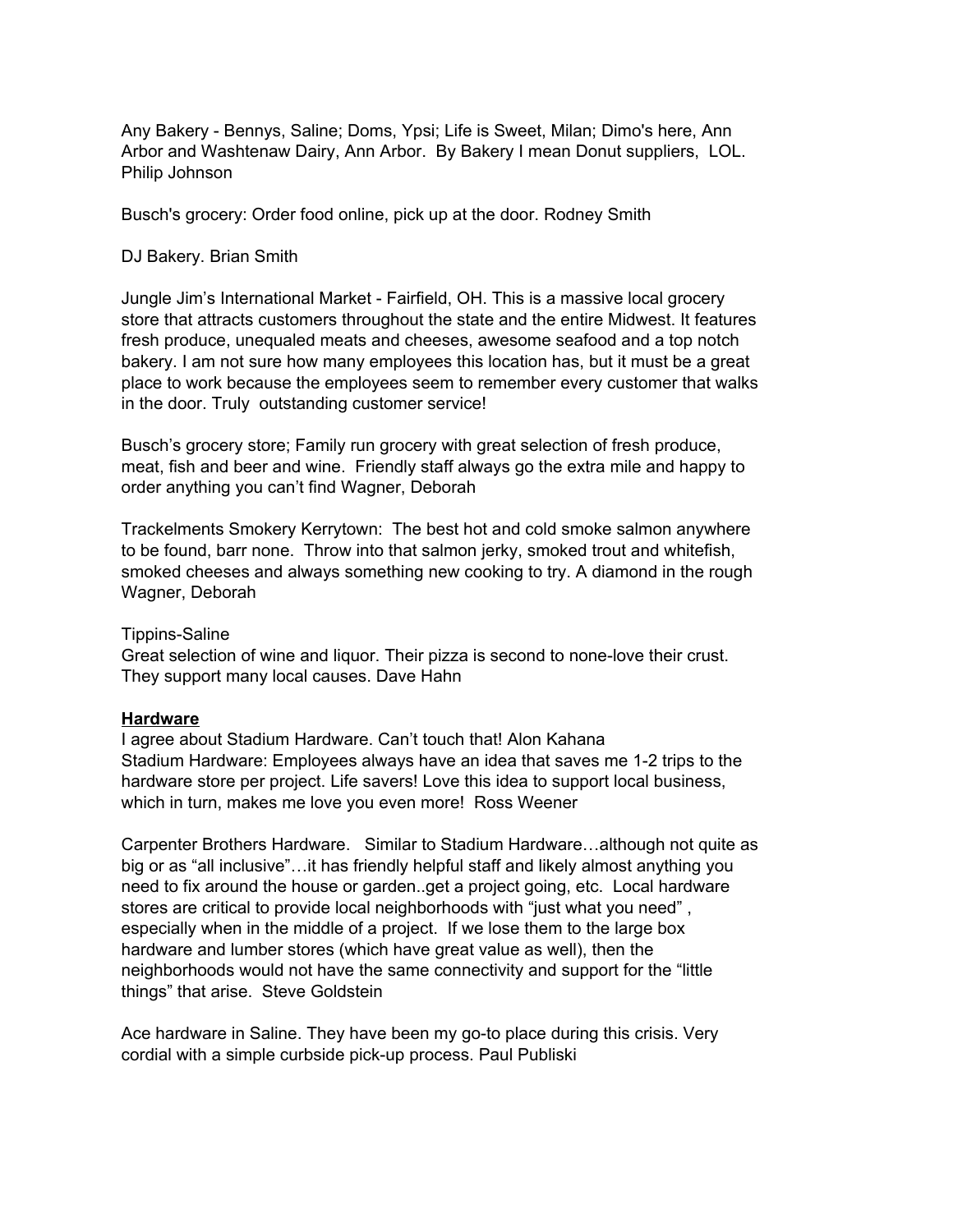Any Bakery - Bennys, Saline; Doms, Ypsi; Life is Sweet, Milan; Dimo's here, Ann Arbor and Washtenaw Dairy, Ann Arbor. By Bakery I mean Donut suppliers, LOL. Philip Johnson

Busch's grocery: Order food online, pick up at the door. Rodney Smith

#### DJ Bakery. Brian Smith

Jungle Jim's International Market - Fairfield, OH. This is a massive local grocery store that attracts customers throughout the state and the entire Midwest. It features fresh produce, unequaled meats and cheeses, awesome seafood and a top notch bakery. I am not sure how many employees this location has, but it must be a great place to work because the employees seem to remember every customer that walks in the door. Truly outstanding customer service!

Busch's grocery store; Family run grocery with great selection of fresh produce, meat, fish and beer and wine. Friendly staff always go the extra mile and happy to order anything you can't find Wagner, Deborah

Trackelments Smokery Kerrytown: The best hot and cold smoke salmon anywhere to be found, barr none. Throw into that salmon jerky, smoked trout and whitefish, smoked cheeses and always something new cooking to try. A diamond in the rough Wagner, Deborah

#### Tippins-Saline

Great selection of wine and liquor. Their pizza is second to none-love their crust. They support many local causes. Dave Hahn

#### **Hardware**

I agree about Stadium Hardware. Can't touch that! Alon Kahana Stadium Hardware: Employees always have an idea that saves me 1-2 trips to the hardware store per project. Life savers! Love this idea to support local business, which in turn, makes me love you even more! Ross Weener

Carpenter Brothers Hardware. Similar to Stadium Hardware…although not quite as big or as "all inclusive"…it has friendly helpful staff and likely almost anything you need to fix around the house or garden..get a project going, etc. Local hardware stores are critical to provide local neighborhoods with "just what you need" , especially when in the middle of a project. If we lose them to the large box hardware and lumber stores (which have great value as well), then the neighborhoods would not have the same connectivity and support for the "little things" that arise. Steve Goldstein

Ace hardware in Saline. They have been my go-to place during this crisis. Very cordial with a simple curbside pick-up process. Paul Publiski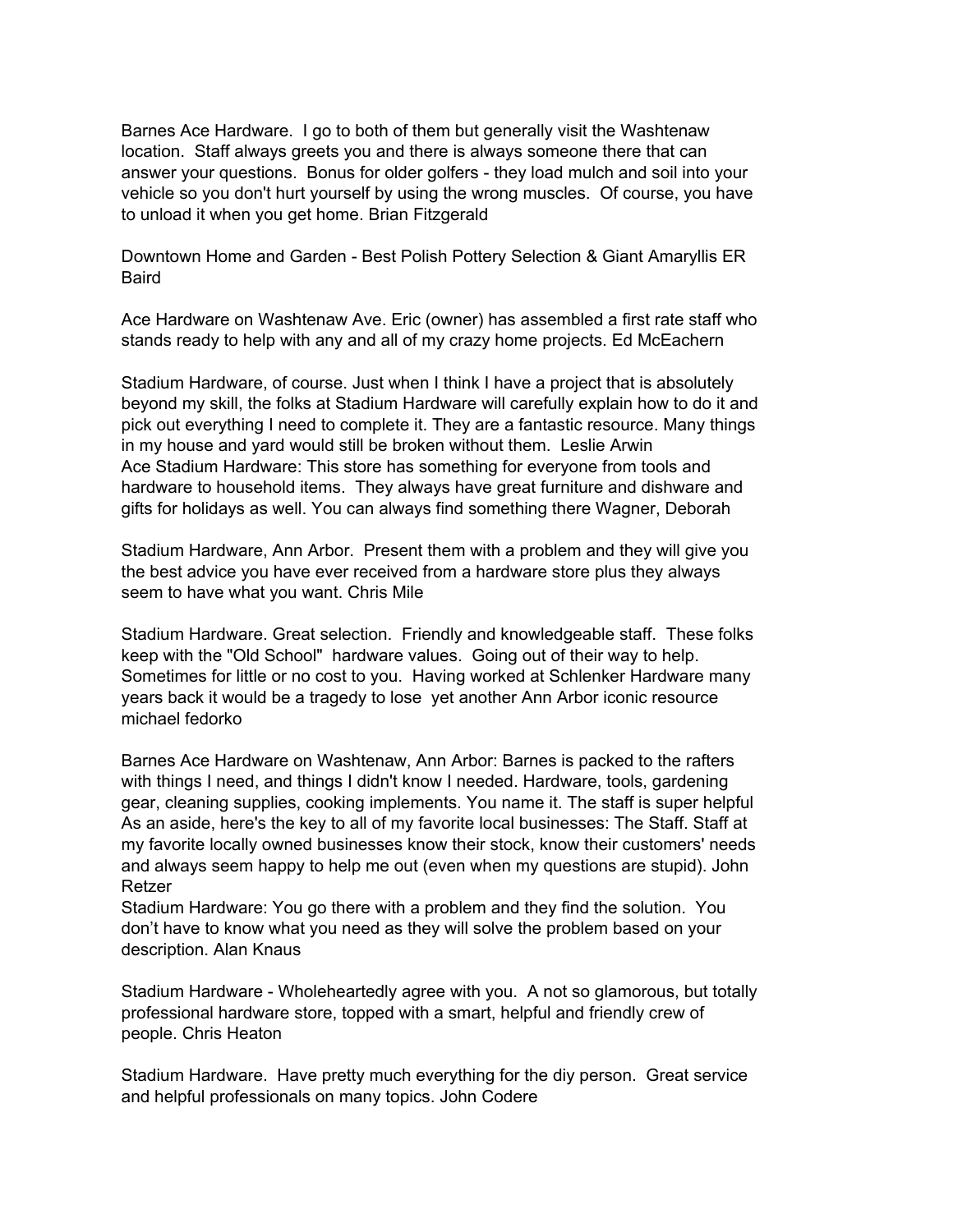Barnes Ace Hardware. I go to both of them but generally visit the Washtenaw location. Staff always greets you and there is always someone there that can answer your questions. Bonus for older golfers - they load mulch and soil into your vehicle so you don't hurt yourself by using the wrong muscles. Of course, you have to unload it when you get home. Brian Fitzgerald

Downtown Home and Garden - Best Polish Pottery Selection & Giant Amaryllis ER Baird

Ace Hardware on Washtenaw Ave. Eric (owner) has assembled a first rate staff who stands ready to help with any and all of my crazy home projects. Ed McEachern

Stadium Hardware, of course. Just when I think I have a project that is absolutely beyond my skill, the folks at Stadium Hardware will carefully explain how to do it and pick out everything I need to complete it. They are a fantastic resource. Many things in my house and yard would still be broken without them. Leslie Arwin Ace Stadium Hardware: This store has something for everyone from tools and hardware to household items. They always have great furniture and dishware and gifts for holidays as well. You can always find something there Wagner, Deborah

Stadium Hardware, Ann Arbor. Present them with a problem and they will give you the best advice you have ever received from a hardware store plus they always seem to have what you want. Chris Mile

Stadium Hardware. Great selection. Friendly and knowledgeable staff. These folks keep with the "Old School" hardware values. Going out of their way to help. Sometimes for little or no cost to you. Having worked at Schlenker Hardware many years back it would be a tragedy to lose yet another Ann Arbor iconic resource michael fedorko

Barnes Ace Hardware on Washtenaw, Ann Arbor: Barnes is packed to the rafters with things I need, and things I didn't know I needed. Hardware, tools, gardening gear, cleaning supplies, cooking implements. You name it. The staff is super helpful As an aside, here's the key to all of my favorite local businesses: The Staff. Staff at my favorite locally owned businesses know their stock, know their customers' needs and always seem happy to help me out (even when my questions are stupid). John Retzer

Stadium Hardware: You go there with a problem and they find the solution. You don't have to know what you need as they will solve the problem based on your description. Alan Knaus

Stadium Hardware - Wholeheartedly agree with you. A not so glamorous, but totally professional hardware store, topped with a smart, helpful and friendly crew of people. Chris Heaton

Stadium Hardware. Have pretty much everything for the diy person. Great service and helpful professionals on many topics. John Codere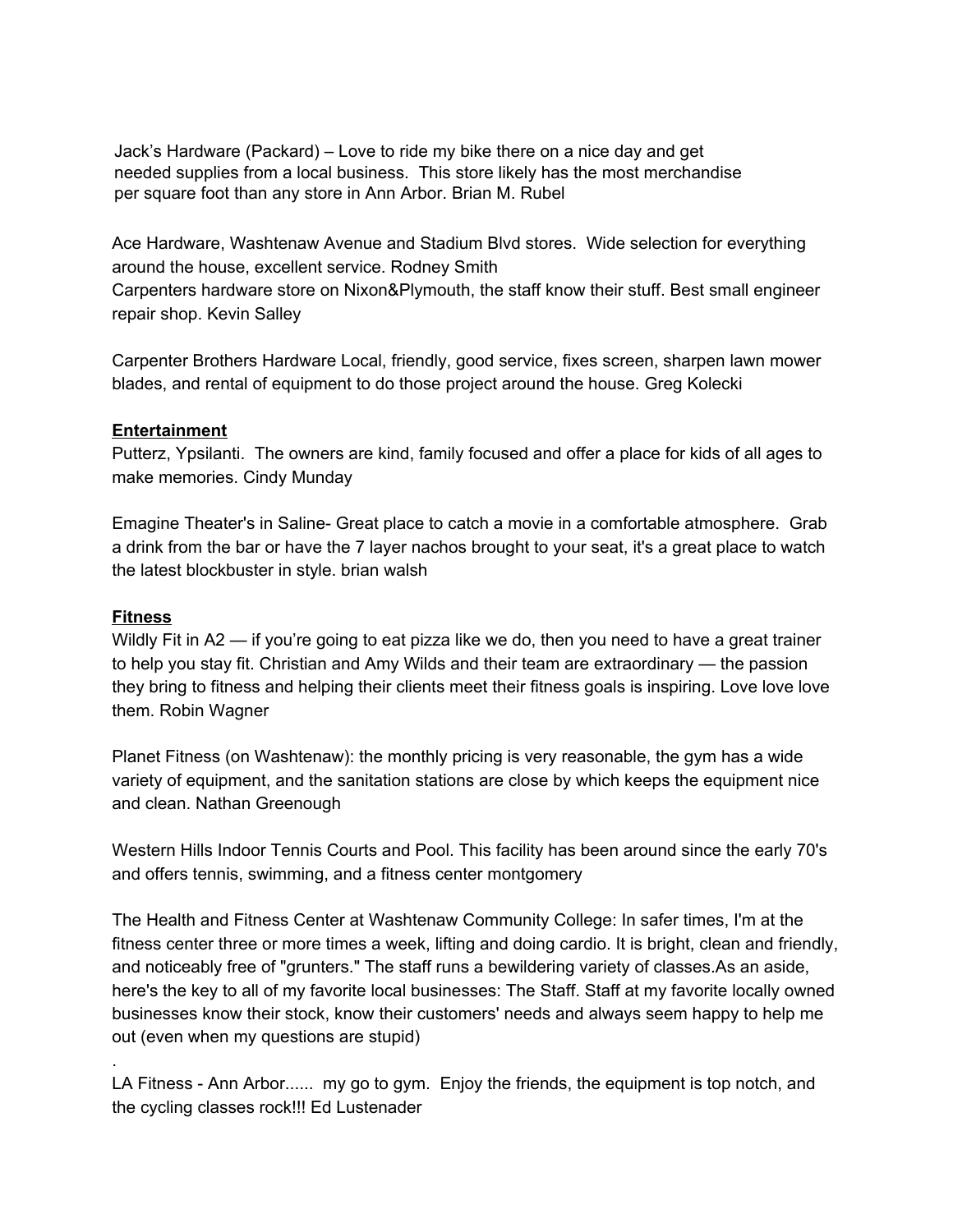Jack's Hardware (Packard) – Love to ride my bike there on a nice day and get needed supplies from a local business. This store likely has the most merchandise per square foot than any store in Ann Arbor. Brian M. Rubel

Ace Hardware, Washtenaw Avenue and Stadium Blvd stores. Wide selection for everything around the house, excellent service. Rodney Smith

Carpenters hardware store on Nixon&Plymouth, the staff know their stuff. Best small engineer repair shop. Kevin Salley

Carpenter Brothers Hardware Local, friendly, good service, fixes screen, sharpen lawn mower blades, and rental of equipment to do those project around the house. Greg Kolecki

## **Entertainment**

Putterz, Ypsilanti. The owners are kind, family focused and offer a place for kids of all ages to make memories. Cindy Munday

Emagine Theater's in Saline- Great place to catch a movie in a comfortable atmosphere. Grab a drink from the bar or have the 7 layer nachos brought to your seat, it's a great place to watch the latest blockbuster in style. brian walsh

## **Fitness**

.

Wildly Fit in A2 — if you're going to eat pizza like we do, then you need to have a great trainer to help you stay fit. Christian and Amy Wilds and their team are extraordinary — the passion they bring to fitness and helping their clients meet their fitness goals is inspiring. Love love love them. Robin Wagner

Planet Fitness (on Washtenaw): the monthly pricing is very reasonable, the gym has a wide variety of equipment, and the sanitation stations are close by which keeps the equipment nice and clean. Nathan Greenough

Western Hills Indoor Tennis Courts and Pool. This facility has been around since the early 70's and offers tennis, swimming, and a fitness center montgomery

The Health and Fitness Center at Washtenaw Community College: In safer times, I'm at the fitness center three or more times a week, lifting and doing cardio. It is bright, clean and friendly, and noticeably free of "grunters." The staff runs a bewildering variety of classes.As an aside, here's the key to all of my favorite local businesses: The Staff. Staff at my favorite locally owned businesses know their stock, know their customers' needs and always seem happy to help me out (even when my questions are stupid)

LA Fitness - Ann Arbor...... my go to gym. Enjoy the friends, the equipment is top notch, and the cycling classes rock!!! Ed Lustenader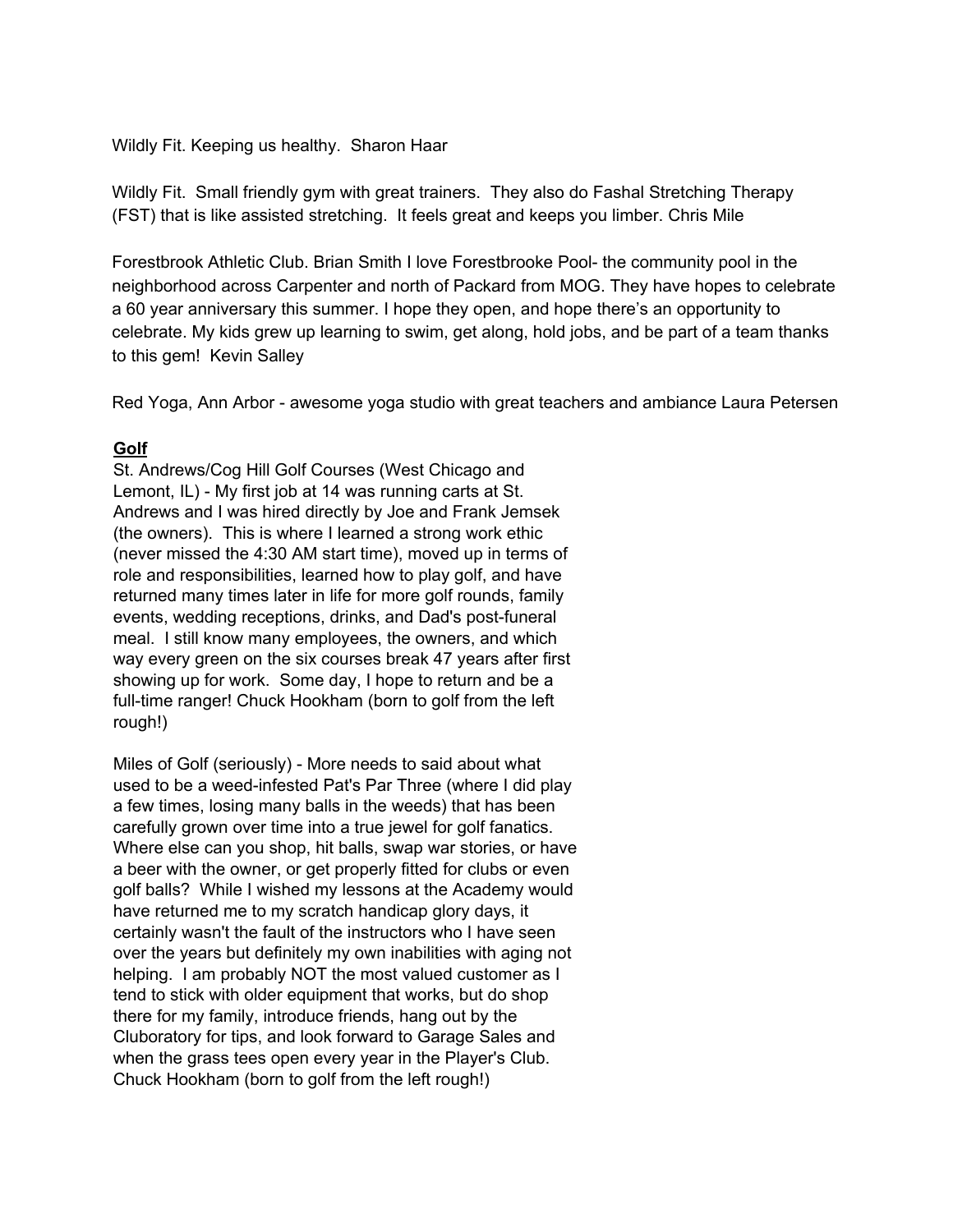#### Wildly Fit. Keeping us healthy. Sharon Haar

Wildly Fit. Small friendly gym with great trainers. They also do Fashal Stretching Therapy (FST) that is like assisted stretching. It feels great and keeps you limber. Chris Mile

Forestbrook Athletic Club. Brian Smith I love Forestbrooke Pool- the community pool in the neighborhood across Carpenter and north of Packard from MOG. They have hopes to celebrate a 60 year anniversary this summer. I hope they open, and hope there's an opportunity to celebrate. My kids grew up learning to swim, get along, hold jobs, and be part of a team thanks to this gem! Kevin Salley

Red Yoga, Ann Arbor - awesome yoga studio with great teachers and ambiance Laura Petersen

## **Golf**

St. Andrews/Cog Hill Golf Courses (West Chicago and Lemont, IL) - My first job at 14 was running carts at St. Andrews and I was hired directly by Joe and Frank Jemsek (the owners). This is where I learned a strong work ethic (never missed the 4:30 AM start time), moved up in terms of role and responsibilities, learned how to play golf, and have returned many times later in life for more golf rounds, family events, wedding receptions, drinks, and Dad's post-funeral meal. I still know many employees, the owners, and which way every green on the six courses break 47 years after first showing up for work. Some day, I hope to return and be a full-time ranger! Chuck Hookham (born to golf from the left rough!)

Miles of Golf (seriously) - More needs to said about what used to be a weed-infested Pat's Par Three (where I did play a few times, losing many balls in the weeds) that has been carefully grown over time into a true jewel for golf fanatics. Where else can you shop, hit balls, swap war stories, or have a beer with the owner, or get properly fitted for clubs or even golf balls? While I wished my lessons at the Academy would have returned me to my scratch handicap glory days, it certainly wasn't the fault of the instructors who I have seen over the years but definitely my own inabilities with aging not helping. I am probably NOT the most valued customer as I tend to stick with older equipment that works, but do shop there for my family, introduce friends, hang out by the Cluboratory for tips, and look forward to Garage Sales and when the grass tees open every year in the Player's Club. Chuck Hookham (born to golf from the left rough!)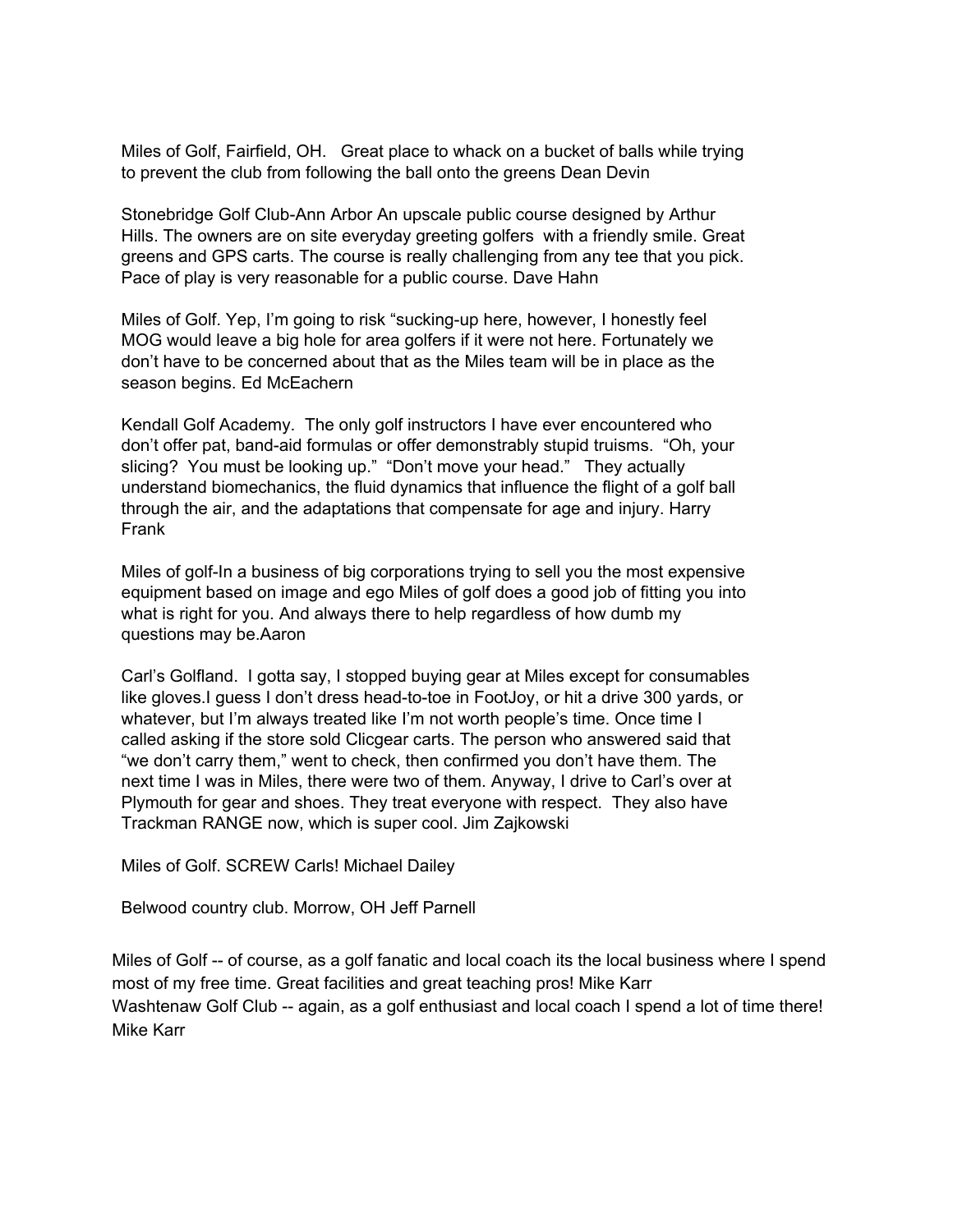Miles of Golf, Fairfield, OH. Great place to whack on a bucket of balls while trying to prevent the club from following the ball onto the greens Dean Devin

Stonebridge Golf Club-Ann Arbor An upscale public course designed by Arthur Hills. The owners are on site everyday greeting golfers with a friendly smile. Great greens and GPS carts. The course is really challenging from any tee that you pick. Pace of play is very reasonable for a public course. Dave Hahn

Miles of Golf. Yep, I'm going to risk "sucking-up here, however, I honestly feel MOG would leave a big hole for area golfers if it were not here. Fortunately we don't have to be concerned about that as the Miles team will be in place as the season begins. Ed McEachern

Kendall Golf Academy. The only golf instructors I have ever encountered who don't offer pat, band-aid formulas or offer demonstrably stupid truisms. "Oh, your slicing? You must be looking up." "Don't move your head." They actually understand biomechanics, the fluid dynamics that influence the flight of a golf ball through the air, and the adaptations that compensate for age and injury. Harry Frank

Miles of golf-In a business of big corporations trying to sell you the most expensive equipment based on image and ego Miles of golf does a good job of fitting you into what is right for you. And always there to help regardless of how dumb my questions may be.Aaron

Carl's Golfland. I gotta say, I stopped buying gear at Miles except for consumables like gloves.I guess I don't dress head-to-toe in FootJoy, or hit a drive 300 yards, or whatever, but I'm always treated like I'm not worth people's time. Once time I called asking if the store sold Clicgear carts. The person who answered said that "we don't carry them," went to check, then confirmed you don't have them. The next time I was in Miles, there were two of them. Anyway, I drive to Carl's over at Plymouth for gear and shoes. They treat everyone with respect. They also have Trackman RANGE now, which is super cool. Jim Zajkowski

Miles of Golf. SCREW Carls! Michael Dailey

Belwood country club. Morrow, OH Jeff Parnell

Miles of Golf -- of course, as a golf fanatic and local coach its the local business where I spend most of my free time. Great facilities and great teaching pros! Mike Karr Washtenaw Golf Club -- again, as a golf enthusiast and local coach I spend a lot of time there! Mike Karr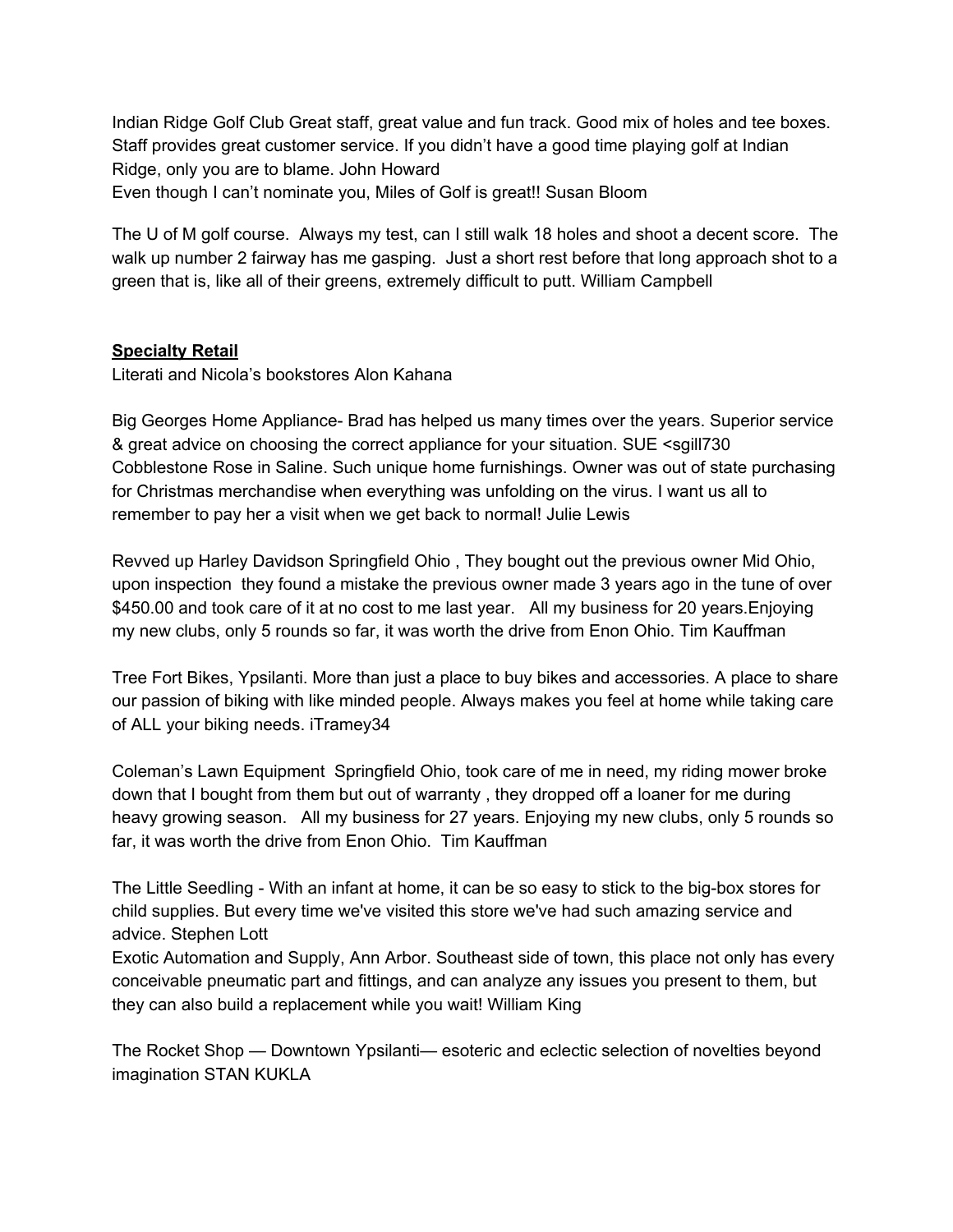Indian Ridge Golf Club Great staff, great value and fun track. Good mix of holes and tee boxes. Staff provides great customer service. If you didn't have a good time playing golf at Indian Ridge, only you are to blame. John Howard Even though I can't nominate you, Miles of Golf is great!! Susan Bloom

The U of M golf course. Always my test, can I still walk 18 holes and shoot a decent score. The walk up number 2 fairway has me gasping. Just a short rest before that long approach shot to a green that is, like all of their greens, extremely difficult to putt. William Campbell

# **Specialty Retail**

Literati and Nicola's bookstores Alon Kahana

Big Georges Home Appliance- Brad has helped us many times over the years. Superior service & great advice on choosing the correct appliance for your situation. SUE <sgill730 Cobblestone Rose in Saline. Such unique home furnishings. Owner was out of state purchasing for Christmas merchandise when everything was unfolding on the virus. I want us all to remember to pay her a visit when we get back to normal! Julie Lewis

Revved up Harley Davidson Springfield Ohio , They bought out the previous owner Mid Ohio, upon inspection they found a mistake the previous owner made 3 years ago in the tune of over \$450.00 and took care of it at no cost to me last year. All my business for 20 years. Enjoying my new clubs, only 5 rounds so far, it was worth the drive from Enon Ohio. Tim Kauffman

Tree Fort Bikes, Ypsilanti. More than just a place to buy bikes and accessories. A place to share our passion of biking with like minded people. Always makes you feel at home while taking care of ALL your biking needs. iTramey34

Coleman's Lawn Equipment Springfield Ohio, took care of me in need, my riding mower broke down that I bought from them but out of warranty , they dropped off a loaner for me during heavy growing season. All my business for 27 years. Enjoying my new clubs, only 5 rounds so far, it was worth the drive from Enon Ohio. Tim Kauffman

The Little Seedling - With an infant at home, it can be so easy to stick to the big-box stores for child supplies. But every time we've visited this store we've had such amazing service and advice. Stephen Lott

Exotic Automation and Supply, Ann Arbor. Southeast side of town, this place not only has every conceivable pneumatic part and fittings, and can analyze any issues you present to them, but they can also build a replacement while you wait! William King

The Rocket Shop — Downtown Ypsilanti— esoteric and eclectic selection of novelties beyond imagination STAN KUKLA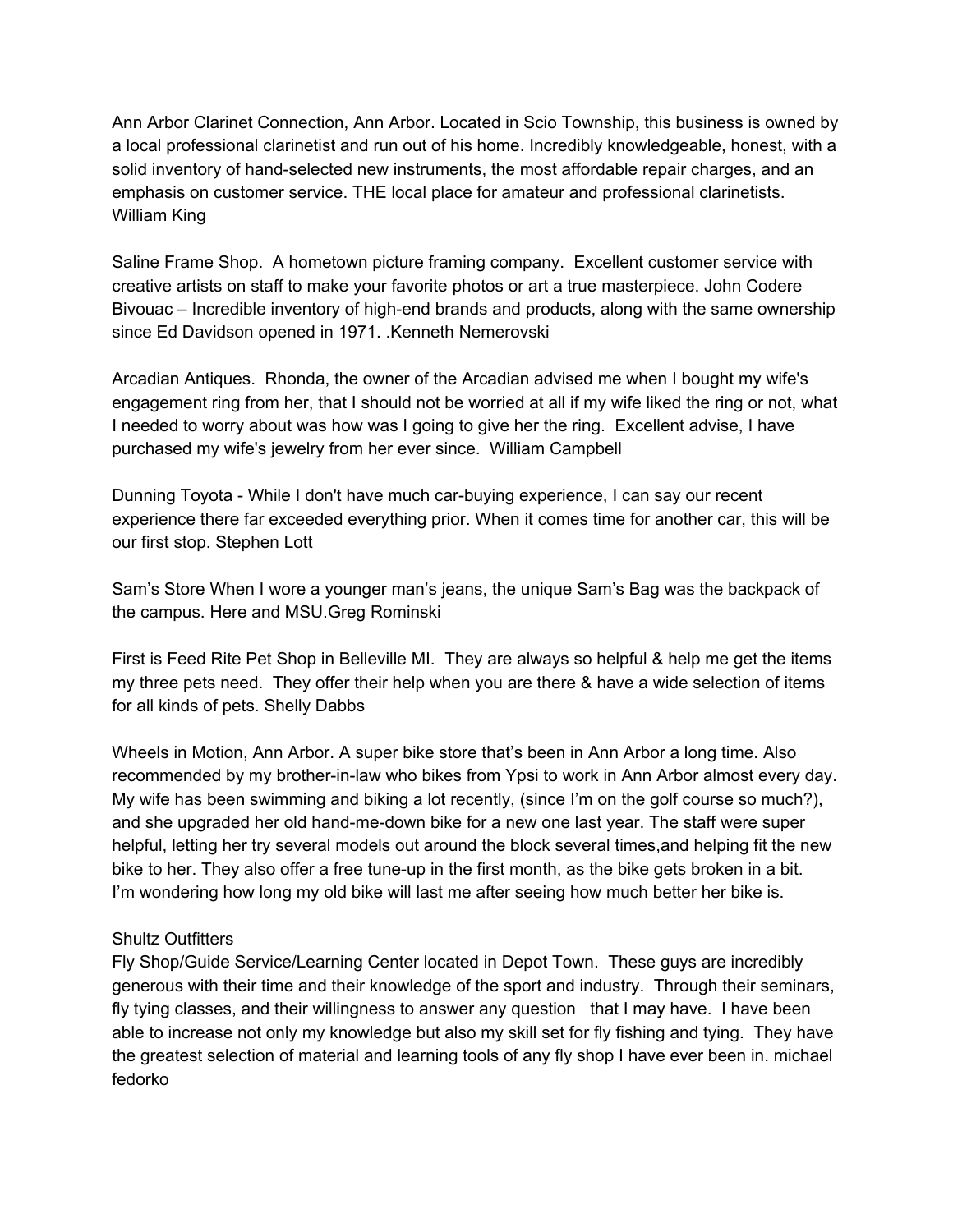Ann Arbor Clarinet Connection, Ann Arbor. Located in Scio Township, this business is owned by a local professional clarinetist and run out of his home. Incredibly knowledgeable, honest, with a solid inventory of hand-selected new instruments, the most affordable repair charges, and an emphasis on customer service. THE local place for amateur and professional clarinetists. William King

Saline Frame Shop. A hometown picture framing company. Excellent customer service with creative artists on staff to make your favorite photos or art a true masterpiece. John Codere Bivouac – Incredible inventory of high-end brands and products, along with the same ownership since Ed Davidson opened in 1971. .Kenneth Nemerovski

Arcadian Antiques. Rhonda, the owner of the Arcadian advised me when I bought my wife's engagement ring from her, that I should not be worried at all if my wife liked the ring or not, what I needed to worry about was how was I going to give her the ring. Excellent advise, I have purchased my wife's jewelry from her ever since. William Campbell

Dunning Toyota - While I don't have much car-buying experience, I can say our recent experience there far exceeded everything prior. When it comes time for another car, this will be our first stop. Stephen Lott

Sam's Store When I wore a younger man's jeans, the unique Sam's Bag was the backpack of the campus. Here and MSU.Greg Rominski

First is Feed Rite Pet Shop in Belleville MI. They are always so helpful & help me get the items my three pets need. They offer their help when you are there & have a wide selection of items for all kinds of pets. Shelly Dabbs

Wheels in Motion, Ann Arbor. A super bike store that's been in Ann Arbor a long time. Also recommended by my brother-in-law who bikes from Ypsi to work in Ann Arbor almost every day. My wife has been swimming and biking a lot recently, (since I'm on the golf course so much?), and she upgraded her old hand-me-down bike for a new one last year. The staff were super helpful, letting her try several models out around the block several times,and helping fit the new bike to her. They also offer a free tune-up in the first month, as the bike gets broken in a bit. I'm wondering how long my old bike will last me after seeing how much better her bike is.

# Shultz Outfitters

Fly Shop/Guide Service/Learning Center located in Depot Town. These guys are incredibly generous with their time and their knowledge of the sport and industry. Through their seminars, fly tying classes, and their willingness to answer any question that I may have. I have been able to increase not only my knowledge but also my skill set for fly fishing and tying. They have the greatest selection of material and learning tools of any fly shop I have ever been in. michael fedorko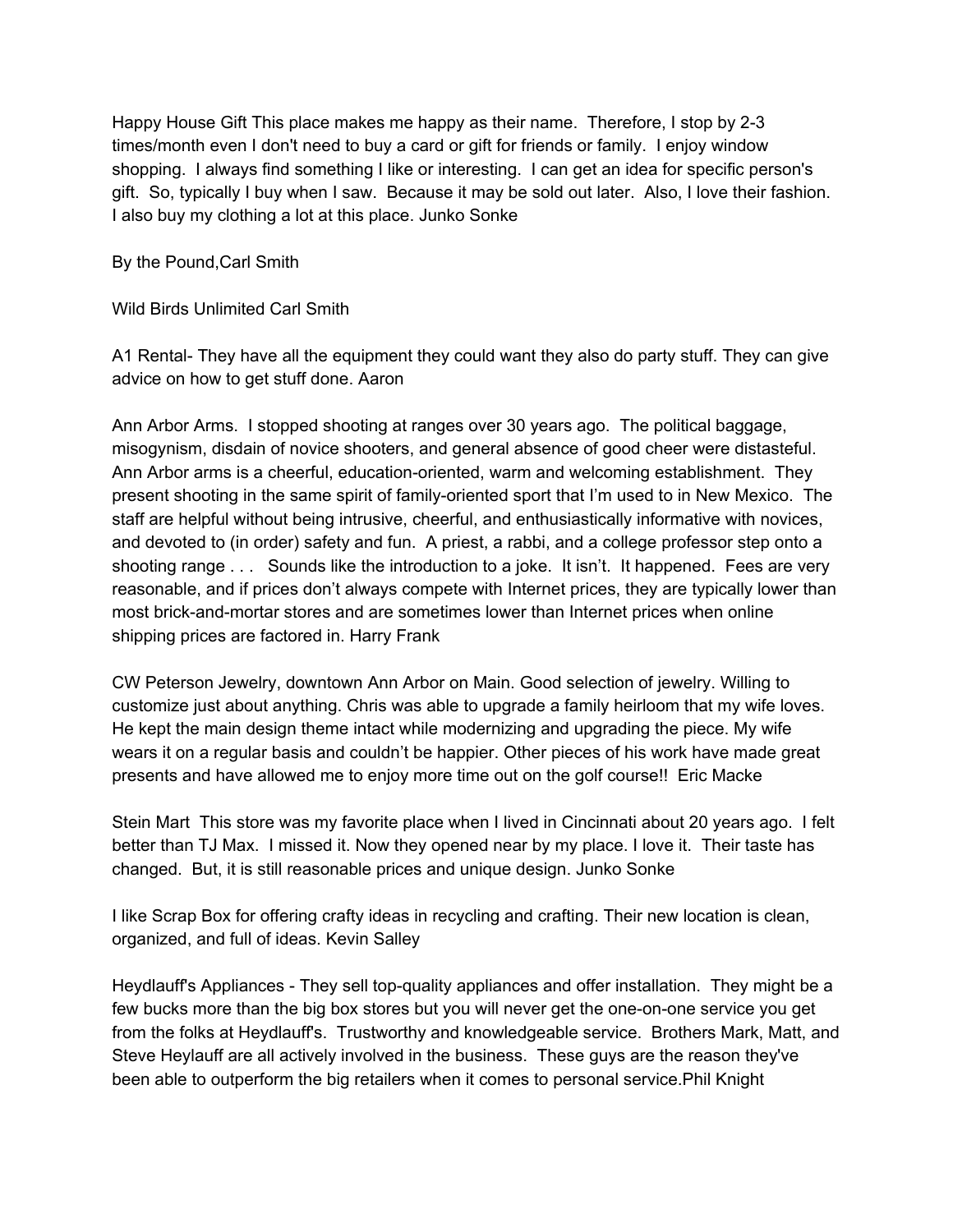Happy House Gift This place makes me happy as their name. Therefore, I stop by 2-3 times/month even I don't need to buy a card or gift for friends or family. I enjoy window shopping. I always find something I like or interesting. I can get an idea for specific person's gift. So, typically I buy when I saw. Because it may be sold out later. Also, I love their fashion. I also buy my clothing a lot at this place. Junko Sonke

By the Pound,Carl Smith

Wild Birds Unlimited Carl Smith

A1 Rental- They have all the equipment they could want they also do party stuff. They can give advice on how to get stuff done. Aaron

Ann Arbor Arms. I stopped shooting at ranges over 30 years ago. The political baggage, misogynism, disdain of novice shooters, and general absence of good cheer were distasteful. Ann Arbor arms is a cheerful, education-oriented, warm and welcoming establishment. They present shooting in the same spirit of family-oriented sport that I'm used to in New Mexico. The staff are helpful without being intrusive, cheerful, and enthusiastically informative with novices, and devoted to (in order) safety and fun. A priest, a rabbi, and a college professor step onto a shooting range . . . Sounds like the introduction to a joke. It isn't. It happened. Fees are very reasonable, and if prices don't always compete with Internet prices, they are typically lower than most brick-and-mortar stores and are sometimes lower than Internet prices when online shipping prices are factored in. Harry Frank

CW Peterson Jewelry, downtown Ann Arbor on Main. Good selection of jewelry. Willing to customize just about anything. Chris was able to upgrade a family heirloom that my wife loves. He kept the main design theme intact while modernizing and upgrading the piece. My wife wears it on a regular basis and couldn't be happier. Other pieces of his work have made great presents and have allowed me to enjoy more time out on the golf course!! Eric Macke

Stein Mart This store was my favorite place when I lived in Cincinnati about 20 years ago. I felt better than TJ Max. I missed it. Now they opened near by my place. I love it. Their taste has changed. But, it is still reasonable prices and unique design. Junko Sonke

I like Scrap Box for offering crafty ideas in recycling and crafting. Their new location is clean, organized, and full of ideas. Kevin Salley

Heydlauff's Appliances - They sell top-quality appliances and offer installation. They might be a few bucks more than the big box stores but you will never get the one-on-one service you get from the folks at Heydlauff's. Trustworthy and knowledgeable service. Brothers Mark, Matt, and Steve Heylauff are all actively involved in the business. These guys are the reason they've been able to outperform the big retailers when it comes to personal service.Phil Knight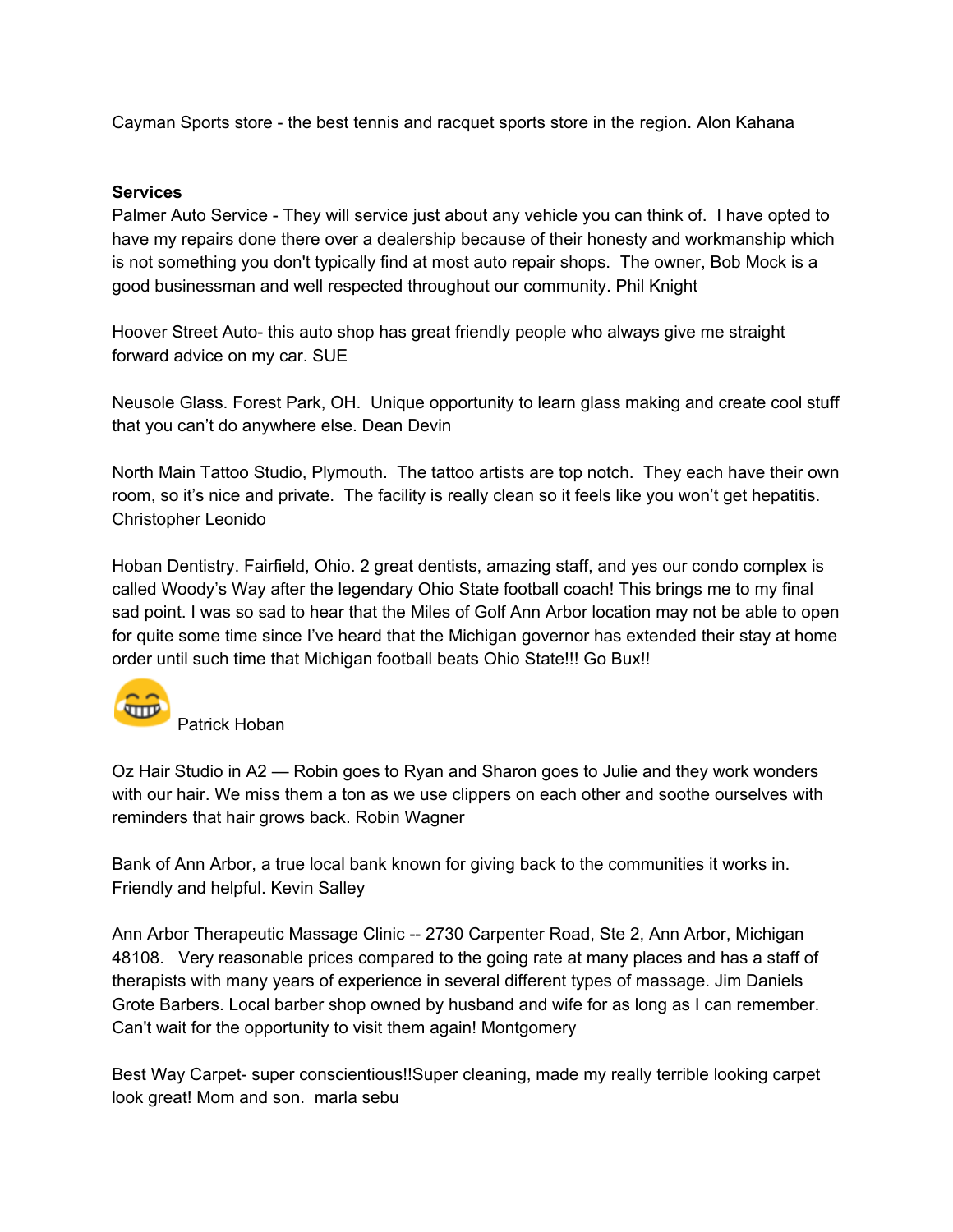Cayman Sports store - the best tennis and racquet sports store in the region. Alon Kahana

## **Services**

Palmer Auto Service - They will service just about any vehicle you can think of. I have opted to have my repairs done there over a dealership because of their honesty and workmanship which is not something you don't typically find at most auto repair shops. The owner, Bob Mock is a good businessman and well respected throughout our community. Phil Knight

Hoover Street Auto- this auto shop has great friendly people who always give me straight forward advice on my car. SUE

Neusole Glass. Forest Park, OH. Unique opportunity to learn glass making and create cool stuff that you can't do anywhere else. Dean Devin

North Main Tattoo Studio, Plymouth. The tattoo artists are top notch. They each have their own room, so it's nice and private. The facility is really clean so it feels like you won't get hepatitis. Christopher Leonido

Hoban Dentistry. Fairfield, Ohio. 2 great dentists, amazing staff, and yes our condo complex is called Woody's Way after the legendary Ohio State football coach! This brings me to my final sad point. I was so sad to hear that the Miles of Golf Ann Arbor location may not be able to open for quite some time since I've heard that the Michigan governor has extended their stay at home order until such time that Michigan football beats Ohio State!!! Go Bux!!



Patrick Hoban

Oz Hair Studio in A2 — Robin goes to Ryan and Sharon goes to Julie and they work wonders with our hair. We miss them a ton as we use clippers on each other and soothe ourselves with reminders that hair grows back. Robin Wagner

Bank of Ann Arbor, a true local bank known for giving back to the communities it works in. Friendly and helpful. Kevin Salley

Ann Arbor Therapeutic Massage Clinic -- 2730 Carpenter Road, Ste 2, Ann Arbor, Michigan 48108. Very reasonable prices compared to the going rate at many places and has a staff of therapists with many years of experience in several different types of massage. Jim Daniels Grote Barbers. Local barber shop owned by husband and wife for as long as I can remember. Can't wait for the opportunity to visit them again! Montgomery

Best Way Carpet- super conscientious!!Super cleaning, made my really terrible looking carpet look great! Mom and son. marla sebu